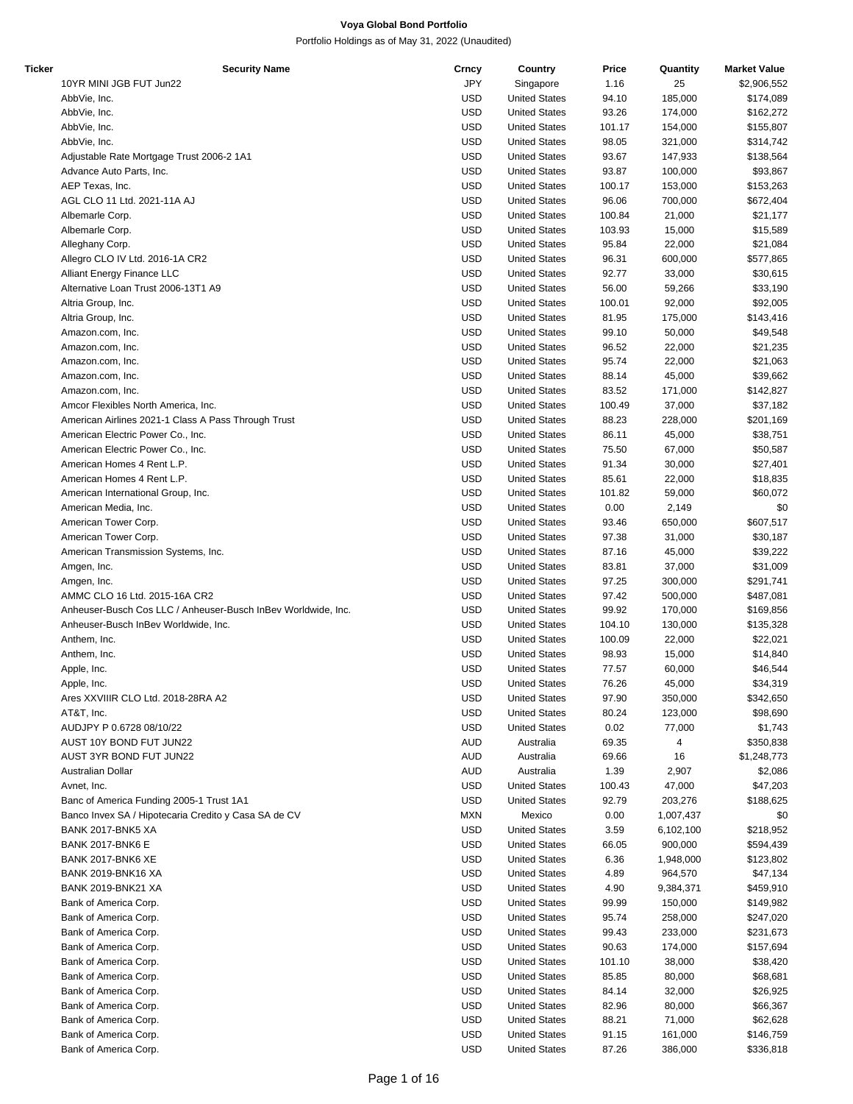| Ticker | <b>Security Name</b>                                          | Crncy      | Country              | Price  | Quantity  | <b>Market Value</b> |
|--------|---------------------------------------------------------------|------------|----------------------|--------|-----------|---------------------|
|        | 10YR MINI JGB FUT Jun22                                       | JPY        | Singapore            | 1.16   | 25        | \$2,906,552         |
|        | AbbVie, Inc.                                                  | <b>USD</b> | <b>United States</b> | 94.10  | 185,000   | \$174,089           |
|        | AbbVie, Inc.                                                  | <b>USD</b> | <b>United States</b> | 93.26  | 174,000   | \$162,272           |
|        | AbbVie, Inc.                                                  | <b>USD</b> | <b>United States</b> | 101.17 | 154,000   | \$155,807           |
|        | AbbVie, Inc.                                                  | <b>USD</b> | <b>United States</b> | 98.05  | 321,000   | \$314,742           |
|        | Adjustable Rate Mortgage Trust 2006-2 1A1                     | <b>USD</b> | <b>United States</b> | 93.67  | 147,933   | \$138,564           |
|        | Advance Auto Parts, Inc.                                      | <b>USD</b> | <b>United States</b> | 93.87  | 100,000   | \$93,867            |
|        |                                                               | <b>USD</b> |                      |        |           |                     |
|        | AEP Texas, Inc.                                               |            | <b>United States</b> | 100.17 | 153,000   | \$153,263           |
|        | AGL CLO 11 Ltd. 2021-11A AJ                                   | <b>USD</b> | <b>United States</b> | 96.06  | 700,000   | \$672,404           |
|        | Albemarle Corp.                                               | <b>USD</b> | <b>United States</b> | 100.84 | 21,000    | \$21,177            |
|        | Albemarle Corp.                                               | <b>USD</b> | <b>United States</b> | 103.93 | 15,000    | \$15,589            |
|        | Alleghany Corp.                                               | <b>USD</b> | <b>United States</b> | 95.84  | 22,000    | \$21,084            |
|        | Allegro CLO IV Ltd. 2016-1A CR2                               | <b>USD</b> | <b>United States</b> | 96.31  | 600,000   | \$577,865           |
|        | Alliant Energy Finance LLC                                    | <b>USD</b> | <b>United States</b> | 92.77  | 33,000    | \$30,615            |
|        | Alternative Loan Trust 2006-13T1 A9                           | <b>USD</b> | <b>United States</b> | 56.00  | 59,266    | \$33,190            |
|        | Altria Group, Inc.                                            | <b>USD</b> | <b>United States</b> | 100.01 | 92,000    | \$92,005            |
|        | Altria Group, Inc.                                            | <b>USD</b> | <b>United States</b> | 81.95  | 175,000   | \$143,416           |
|        | Amazon.com, Inc.                                              | <b>USD</b> | <b>United States</b> | 99.10  | 50,000    | \$49,548            |
|        | Amazon.com, Inc.                                              | <b>USD</b> | <b>United States</b> | 96.52  | 22,000    | \$21,235            |
|        | Amazon.com, Inc.                                              | <b>USD</b> | <b>United States</b> | 95.74  | 22,000    | \$21,063            |
|        |                                                               | <b>USD</b> |                      | 88.14  |           |                     |
|        | Amazon.com, Inc.                                              |            | <b>United States</b> |        | 45,000    | \$39,662            |
|        | Amazon.com, Inc.                                              | <b>USD</b> | <b>United States</b> | 83.52  | 171,000   | \$142,827           |
|        | Amcor Flexibles North America, Inc.                           | <b>USD</b> | <b>United States</b> | 100.49 | 37,000    | \$37,182            |
|        | American Airlines 2021-1 Class A Pass Through Trust           | <b>USD</b> | <b>United States</b> | 88.23  | 228,000   | \$201,169           |
|        | American Electric Power Co., Inc.                             | <b>USD</b> | <b>United States</b> | 86.11  | 45,000    | \$38,751            |
|        | American Electric Power Co., Inc.                             | <b>USD</b> | <b>United States</b> | 75.50  | 67,000    | \$50,587            |
|        | American Homes 4 Rent L.P.                                    | <b>USD</b> | <b>United States</b> | 91.34  | 30,000    | \$27,401            |
|        | American Homes 4 Rent L.P.                                    | <b>USD</b> | <b>United States</b> | 85.61  | 22,000    | \$18,835            |
|        | American International Group, Inc.                            | <b>USD</b> | <b>United States</b> | 101.82 | 59,000    | \$60,072            |
|        | American Media, Inc.                                          | <b>USD</b> | <b>United States</b> | 0.00   | 2,149     | \$0                 |
|        | American Tower Corp.                                          | <b>USD</b> | <b>United States</b> | 93.46  | 650,000   | \$607,517           |
|        | American Tower Corp.                                          | <b>USD</b> | <b>United States</b> | 97.38  | 31,000    | \$30,187            |
|        | American Transmission Systems, Inc.                           | <b>USD</b> | <b>United States</b> | 87.16  | 45,000    | \$39,222            |
|        |                                                               |            |                      |        |           |                     |
|        | Amgen, Inc.                                                   | <b>USD</b> | <b>United States</b> | 83.81  | 37,000    | \$31,009            |
|        | Amgen, Inc.                                                   | <b>USD</b> | <b>United States</b> | 97.25  | 300,000   | \$291,741           |
|        | AMMC CLO 16 Ltd. 2015-16A CR2                                 | <b>USD</b> | <b>United States</b> | 97.42  | 500,000   | \$487,081           |
|        | Anheuser-Busch Cos LLC / Anheuser-Busch InBev Worldwide, Inc. | <b>USD</b> | <b>United States</b> | 99.92  | 170,000   | \$169,856           |
|        | Anheuser-Busch InBev Worldwide, Inc.                          | <b>USD</b> | <b>United States</b> | 104.10 | 130,000   | \$135,328           |
|        | Anthem, Inc.                                                  | <b>USD</b> | <b>United States</b> | 100.09 | 22,000    | \$22,021            |
|        | Anthem, Inc.                                                  | <b>USD</b> | <b>United States</b> | 98.93  | 15,000    | \$14,840            |
|        | Apple, Inc.                                                   | <b>USD</b> | <b>United States</b> | 77.57  | 60,000    | \$46,544            |
|        | Apple, Inc.                                                   | <b>USD</b> | <b>United States</b> | 76.26  | 45,000    | \$34,319            |
|        | Ares XXVIIIR CLO Ltd. 2018-28RA A2                            | <b>USD</b> | <b>United States</b> | 97.90  | 350,000   | \$342,650           |
|        | AT&T, Inc.                                                    | <b>USD</b> | <b>United States</b> | 80.24  | 123,000   | \$98,690            |
|        | AUDJPY P 0.6728 08/10/22                                      | <b>USD</b> | <b>United States</b> | 0.02   | 77,000    | \$1,743             |
|        |                                                               |            |                      |        | 4         |                     |
|        | AUST 10Y BOND FUT JUN22                                       | AUD        | Australia            | 69.35  |           | \$350,838           |
|        | AUST 3YR BOND FUT JUN22                                       | <b>AUD</b> | Australia            | 69.66  | 16        | \$1,248,773         |
|        | Australian Dollar                                             | AUD        | Australia            | 1.39   | 2,907     | \$2,086             |
|        | Avnet, Inc.                                                   | <b>USD</b> | <b>United States</b> | 100.43 | 47,000    | \$47,203            |
|        | Banc of America Funding 2005-1 Trust 1A1                      | <b>USD</b> | <b>United States</b> | 92.79  | 203,276   | \$188,625           |
|        | Banco Invex SA / Hipotecaria Credito y Casa SA de CV          | <b>MXN</b> | Mexico               | 0.00   | 1,007,437 | \$0                 |
|        | BANK 2017-BNK5 XA                                             | <b>USD</b> | <b>United States</b> | 3.59   | 6,102,100 | \$218,952           |
|        | <b>BANK 2017-BNK6 E</b>                                       | USD        | <b>United States</b> | 66.05  | 900,000   | \$594,439           |
|        | BANK 2017-BNK6 XE                                             | <b>USD</b> | <b>United States</b> | 6.36   | 1,948,000 | \$123,802           |
|        | <b>BANK 2019-BNK16 XA</b>                                     | <b>USD</b> | <b>United States</b> | 4.89   | 964,570   | \$47,134            |
|        | <b>BANK 2019-BNK21 XA</b>                                     | <b>USD</b> | <b>United States</b> | 4.90   | 9,384,371 | \$459,910           |
|        | Bank of America Corp.                                         | <b>USD</b> | <b>United States</b> | 99.99  | 150,000   | \$149,982           |
|        |                                                               | <b>USD</b> |                      |        |           |                     |
|        | Bank of America Corp.                                         |            | <b>United States</b> | 95.74  | 258,000   | \$247,020           |
|        | Bank of America Corp.                                         | <b>USD</b> | <b>United States</b> | 99.43  | 233,000   | \$231,673           |
|        | Bank of America Corp.                                         | <b>USD</b> | <b>United States</b> | 90.63  | 174,000   | \$157,694           |
|        | Bank of America Corp.                                         | USD        | <b>United States</b> | 101.10 | 38,000    | \$38,420            |
|        | Bank of America Corp.                                         | <b>USD</b> | <b>United States</b> | 85.85  | 80,000    | \$68,681            |
|        | Bank of America Corp.                                         | <b>USD</b> | <b>United States</b> | 84.14  | 32,000    | \$26,925            |
|        | Bank of America Corp.                                         | <b>USD</b> | <b>United States</b> | 82.96  | 80,000    | \$66,367            |
|        | Bank of America Corp.                                         | <b>USD</b> | <b>United States</b> | 88.21  | 71,000    | \$62,628            |
|        | Bank of America Corp.                                         | <b>USD</b> | <b>United States</b> | 91.15  | 161,000   | \$146,759           |
|        | Bank of America Corp.                                         | <b>USD</b> | <b>United States</b> | 87.26  | 386,000   | \$336,818           |
|        |                                                               |            |                      |        |           |                     |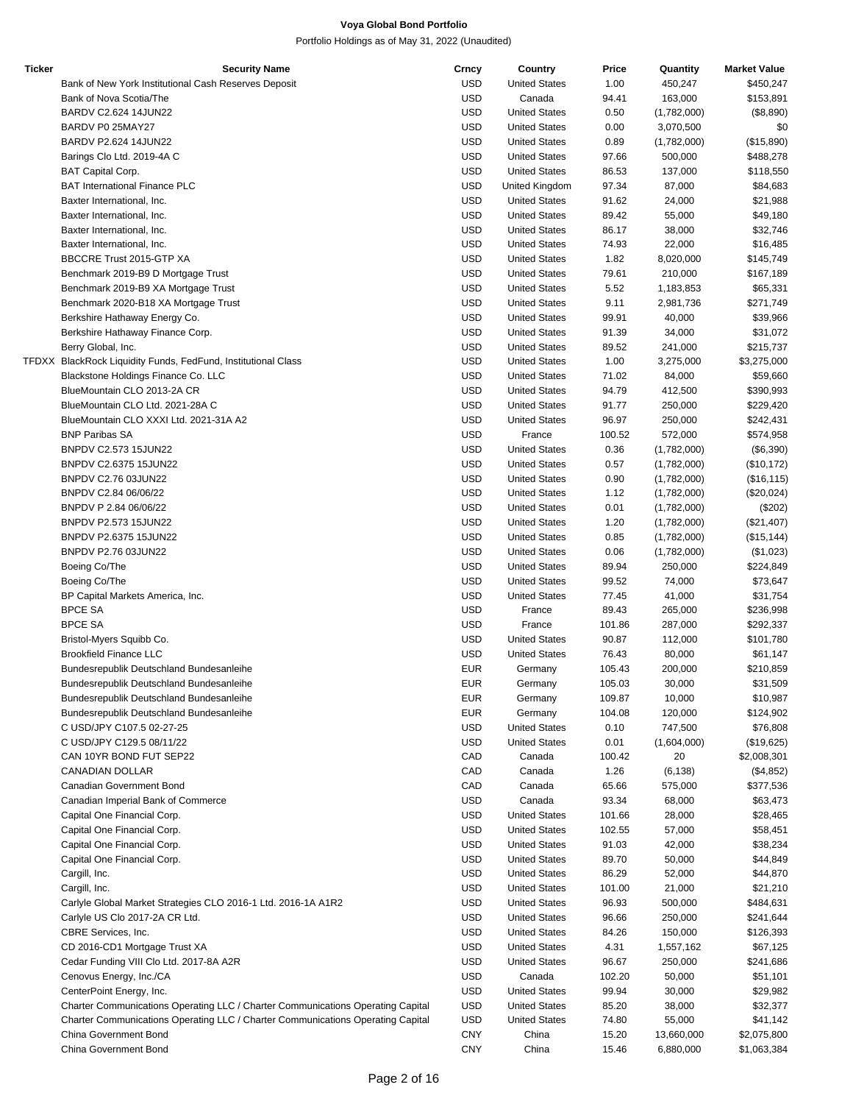| Bank of New York Institutional Cash Reserves Deposit<br>Bank of Nova Scotia/The<br>BARDV C2.624 14JUN22<br>BARDV P0 25MAY27<br>BARDV P2.624 14JUN22 | <b>USD</b><br><b>USD</b><br><b>USD</b><br><b>USD</b> | <b>United States</b><br>Canada<br><b>United States</b> | 1.00<br>94.41<br>0.50 | 450,247<br>163,000<br>(1,782,000) | \$450,247<br>\$153,891 |
|-----------------------------------------------------------------------------------------------------------------------------------------------------|------------------------------------------------------|--------------------------------------------------------|-----------------------|-----------------------------------|------------------------|
|                                                                                                                                                     |                                                      |                                                        |                       |                                   |                        |
|                                                                                                                                                     |                                                      |                                                        |                       |                                   |                        |
|                                                                                                                                                     |                                                      |                                                        |                       |                                   | (\$8,890)              |
|                                                                                                                                                     |                                                      | <b>United States</b>                                   | 0.00                  | 3,070,500                         | \$0                    |
|                                                                                                                                                     | <b>USD</b>                                           | <b>United States</b>                                   | 0.89                  | (1,782,000)                       | (\$15,890)             |
| Barings Clo Ltd. 2019-4A C                                                                                                                          | <b>USD</b>                                           | <b>United States</b>                                   | 97.66                 | 500,000                           | \$488,278              |
| <b>BAT Capital Corp.</b>                                                                                                                            | <b>USD</b>                                           | <b>United States</b>                                   | 86.53                 | 137,000                           | \$118,550              |
| <b>BAT International Finance PLC</b>                                                                                                                | <b>USD</b>                                           | United Kingdom                                         | 97.34                 | 87,000                            | \$84,683               |
| Baxter International, Inc.                                                                                                                          | <b>USD</b>                                           | <b>United States</b>                                   | 91.62                 | 24,000                            | \$21,988               |
|                                                                                                                                                     | <b>USD</b>                                           | <b>United States</b>                                   |                       |                                   |                        |
| Baxter International, Inc.                                                                                                                          |                                                      | <b>United States</b>                                   | 89.42                 | 55,000                            | \$49,180               |
| Baxter International, Inc.                                                                                                                          | <b>USD</b>                                           |                                                        | 86.17                 | 38,000                            | \$32,746               |
| Baxter International, Inc.                                                                                                                          | <b>USD</b>                                           | <b>United States</b>                                   | 74.93                 | 22,000                            | \$16,485               |
| BBCCRE Trust 2015-GTP XA                                                                                                                            | <b>USD</b>                                           | <b>United States</b>                                   | 1.82                  | 8,020,000                         | \$145,749              |
| Benchmark 2019-B9 D Mortgage Trust                                                                                                                  | <b>USD</b>                                           | <b>United States</b>                                   | 79.61                 | 210,000                           | \$167,189              |
| Benchmark 2019-B9 XA Mortgage Trust                                                                                                                 | <b>USD</b>                                           | <b>United States</b>                                   | 5.52                  | 1,183,853                         | \$65,331               |
| Benchmark 2020-B18 XA Mortgage Trust                                                                                                                | <b>USD</b>                                           | <b>United States</b>                                   | 9.11                  | 2,981,736                         | \$271,749              |
| Berkshire Hathaway Energy Co.                                                                                                                       | <b>USD</b>                                           | <b>United States</b>                                   | 99.91                 | 40,000                            | \$39,966               |
| Berkshire Hathaway Finance Corp.                                                                                                                    | <b>USD</b>                                           | <b>United States</b>                                   | 91.39                 | 34,000                            | \$31,072               |
| Berry Global, Inc.                                                                                                                                  | <b>USD</b>                                           | <b>United States</b>                                   | 89.52                 | 241,000                           | \$215,737              |
| TFDXX BlackRock Liquidity Funds, FedFund, Institutional Class                                                                                       | <b>USD</b>                                           | <b>United States</b>                                   | 1.00                  | 3,275,000                         | \$3,275,000            |
| Blackstone Holdings Finance Co. LLC                                                                                                                 | <b>USD</b>                                           | <b>United States</b>                                   | 71.02                 | 84,000                            | \$59,660               |
| BlueMountain CLO 2013-2A CR                                                                                                                         | <b>USD</b>                                           | <b>United States</b>                                   | 94.79                 | 412,500                           | \$390,993              |
| BlueMountain CLO Ltd. 2021-28A C                                                                                                                    | <b>USD</b>                                           | <b>United States</b>                                   | 91.77                 | 250,000                           | \$229,420              |
| BlueMountain CLO XXXI Ltd. 2021-31A A2                                                                                                              | <b>USD</b>                                           | <b>United States</b>                                   | 96.97                 | 250,000                           | \$242,431              |
| <b>BNP Paribas SA</b>                                                                                                                               | <b>USD</b>                                           | France                                                 | 100.52                | 572,000                           | \$574,958              |
| BNPDV C2.573 15JUN22                                                                                                                                | <b>USD</b>                                           | <b>United States</b>                                   | 0.36                  | (1,782,000)                       | (\$6,390)              |
| BNPDV C2.6375 15JUN22                                                                                                                               | <b>USD</b>                                           | <b>United States</b>                                   | 0.57                  | (1,782,000)                       | (\$10, 172)            |
| BNPDV C2.76 03JUN22                                                                                                                                 | <b>USD</b>                                           | <b>United States</b>                                   | 0.90                  | (1,782,000)                       | (\$16, 115)            |
| BNPDV C2.84 06/06/22                                                                                                                                | <b>USD</b>                                           | <b>United States</b>                                   | 1.12                  | (1,782,000)                       | (\$20,024)             |
|                                                                                                                                                     | <b>USD</b>                                           |                                                        |                       |                                   |                        |
| BNPDV P 2.84 06/06/22                                                                                                                               |                                                      | <b>United States</b>                                   | 0.01                  | (1,782,000)                       | (\$202)                |
| BNPDV P2.573 15JUN22                                                                                                                                | <b>USD</b>                                           | <b>United States</b>                                   | 1.20                  | (1,782,000)                       | (\$21,407)             |
| BNPDV P2.6375 15JUN22                                                                                                                               | <b>USD</b>                                           | <b>United States</b>                                   | 0.85                  | (1,782,000)                       | (\$15, 144)            |
| BNPDV P2.76 03JUN22                                                                                                                                 | <b>USD</b>                                           | <b>United States</b>                                   | 0.06                  | (1,782,000)                       | (\$1,023)              |
| Boeing Co/The                                                                                                                                       | <b>USD</b>                                           | <b>United States</b>                                   | 89.94                 | 250,000                           | \$224,849              |
| Boeing Co/The                                                                                                                                       | <b>USD</b>                                           | <b>United States</b>                                   | 99.52                 | 74,000                            | \$73,647               |
| BP Capital Markets America, Inc.                                                                                                                    | <b>USD</b>                                           | <b>United States</b>                                   | 77.45                 | 41,000                            | \$31,754               |
| <b>BPCE SA</b>                                                                                                                                      | <b>USD</b>                                           | France                                                 | 89.43                 | 265,000                           | \$236,998              |
| <b>BPCE SA</b>                                                                                                                                      | <b>USD</b>                                           | France                                                 | 101.86                | 287,000                           | \$292,337              |
| Bristol-Myers Squibb Co.                                                                                                                            | <b>USD</b>                                           | <b>United States</b>                                   | 90.87                 | 112,000                           | \$101,780              |
| <b>Brookfield Finance LLC</b>                                                                                                                       | <b>USD</b>                                           | <b>United States</b>                                   | 76.43                 | 80,000                            | \$61,147               |
| Bundesrepublik Deutschland Bundesanleihe                                                                                                            | <b>EUR</b>                                           | Germany                                                | 105.43                | 200,000                           | \$210,859              |
| Bundesrepublik Deutschland Bundesanleihe                                                                                                            | <b>EUR</b>                                           | Germany                                                | 105.03                | 30,000                            | \$31,509               |
| Bundesrepublik Deutschland Bundesanleihe                                                                                                            | <b>EUR</b>                                           | Germany                                                | 109.87                | 10,000                            | \$10,987               |
| Bundesrepublik Deutschland Bundesanleihe                                                                                                            | <b>EUR</b>                                           | Germany                                                | 104.08                | 120,000                           | \$124,902              |
| C USD/JPY C107.5 02-27-25                                                                                                                           | <b>USD</b>                                           | <b>United States</b>                                   | 0.10                  | 747,500                           | \$76,808               |
| C USD/JPY C129.5 08/11/22                                                                                                                           | <b>USD</b>                                           | <b>United States</b>                                   | 0.01                  | (1,604,000)                       | (\$19,625)             |
| CAN 10YR BOND FUT SEP22                                                                                                                             | CAD                                                  | Canada                                                 | 100.42                | 20                                | \$2,008,301            |
| <b>CANADIAN DOLLAR</b>                                                                                                                              | CAD                                                  | Canada                                                 | 1.26                  | (6, 138)                          | (\$4,852)              |
| Canadian Government Bond                                                                                                                            | CAD                                                  | Canada                                                 | 65.66                 | 575,000                           | \$377,536              |
| Canadian Imperial Bank of Commerce                                                                                                                  | <b>USD</b>                                           | Canada                                                 | 93.34                 |                                   | \$63,473               |
|                                                                                                                                                     |                                                      | <b>United States</b>                                   |                       | 68,000                            |                        |
| Capital One Financial Corp.                                                                                                                         | <b>USD</b>                                           |                                                        | 101.66                | 28,000                            | \$28,465               |
| Capital One Financial Corp.                                                                                                                         | <b>USD</b>                                           | <b>United States</b>                                   | 102.55                | 57,000                            | \$58,451               |
| Capital One Financial Corp.                                                                                                                         | <b>USD</b>                                           | <b>United States</b>                                   | 91.03                 | 42,000                            | \$38,234               |
| Capital One Financial Corp.                                                                                                                         | <b>USD</b>                                           | <b>United States</b>                                   | 89.70                 | 50,000                            | \$44,849               |
| Cargill, Inc.                                                                                                                                       | <b>USD</b>                                           | <b>United States</b>                                   | 86.29                 | 52,000                            | \$44,870               |
| Cargill, Inc.                                                                                                                                       | <b>USD</b>                                           | <b>United States</b>                                   | 101.00                | 21,000                            | \$21,210               |
| Carlyle Global Market Strategies CLO 2016-1 Ltd. 2016-1A A1R2                                                                                       | <b>USD</b>                                           | <b>United States</b>                                   | 96.93                 | 500,000                           | \$484,631              |
| Carlyle US Clo 2017-2A CR Ltd.                                                                                                                      | <b>USD</b>                                           | <b>United States</b>                                   | 96.66                 | 250,000                           | \$241,644              |
| CBRE Services, Inc.                                                                                                                                 | <b>USD</b>                                           | <b>United States</b>                                   | 84.26                 | 150,000                           | \$126,393              |
| CD 2016-CD1 Mortgage Trust XA                                                                                                                       | <b>USD</b>                                           | <b>United States</b>                                   | 4.31                  | 1,557,162                         | \$67,125               |
| Cedar Funding VIII Clo Ltd. 2017-8A A2R                                                                                                             | <b>USD</b>                                           | <b>United States</b>                                   | 96.67                 | 250,000                           | \$241,686              |
| Cenovus Energy, Inc./CA                                                                                                                             | <b>USD</b>                                           | Canada                                                 | 102.20                | 50,000                            | \$51,101               |
| CenterPoint Energy, Inc.                                                                                                                            | <b>USD</b>                                           | <b>United States</b>                                   | 99.94                 | 30,000                            | \$29,982               |
| Charter Communications Operating LLC / Charter Communications Operating Capital                                                                     | <b>USD</b>                                           | <b>United States</b>                                   | 85.20                 | 38,000                            | \$32,377               |
| Charter Communications Operating LLC / Charter Communications Operating Capital                                                                     | <b>USD</b>                                           | <b>United States</b>                                   | 74.80                 | 55,000                            | \$41,142               |
| China Government Bond                                                                                                                               | <b>CNY</b>                                           | China                                                  | 15.20                 | 13,660,000                        | \$2,075,800            |
| China Government Bond                                                                                                                               | <b>CNY</b>                                           | China                                                  | 15.46                 | 6,880,000                         | \$1,063,384            |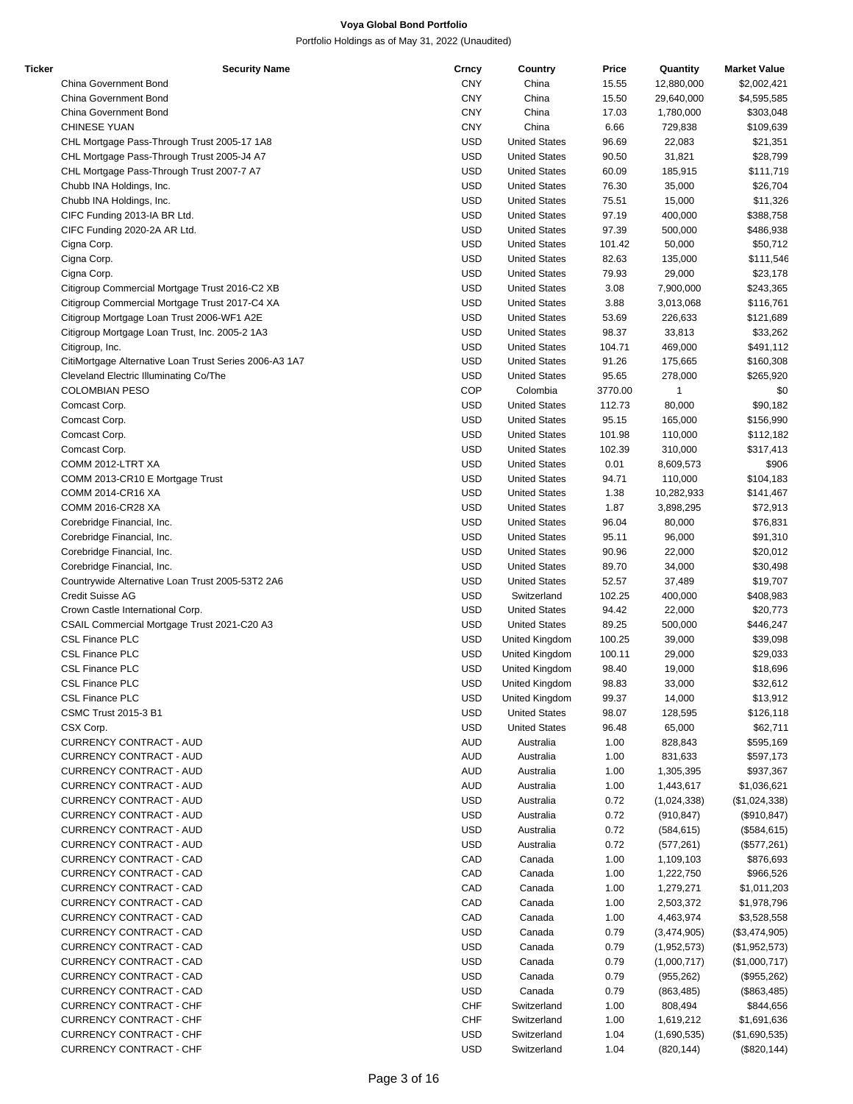| Ticker | <b>Security Name</b>                                   | Crncy      | Country              | Price   | Quantity     | <b>Market Value</b> |
|--------|--------------------------------------------------------|------------|----------------------|---------|--------------|---------------------|
|        | China Government Bond                                  | <b>CNY</b> | China                | 15.55   | 12,880,000   | \$2,002,421         |
|        | China Government Bond                                  | <b>CNY</b> | China                | 15.50   | 29,640,000   | \$4,595,585         |
|        | China Government Bond                                  | <b>CNY</b> | China                | 17.03   | 1,780,000    | \$303,048           |
|        | <b>CHINESE YUAN</b>                                    | <b>CNY</b> | China                | 6.66    | 729,838      | \$109,639           |
|        | CHL Mortgage Pass-Through Trust 2005-17 1A8            | <b>USD</b> | <b>United States</b> | 96.69   | 22,083       | \$21,351            |
|        | CHL Mortgage Pass-Through Trust 2005-J4 A7             | <b>USD</b> | <b>United States</b> | 90.50   | 31,821       | \$28,799            |
|        | CHL Mortgage Pass-Through Trust 2007-7 A7              | <b>USD</b> | <b>United States</b> | 60.09   | 185,915      | \$111,719           |
|        |                                                        | <b>USD</b> | <b>United States</b> |         |              |                     |
|        | Chubb INA Holdings, Inc.                               |            |                      | 76.30   | 35,000       | \$26,704            |
|        | Chubb INA Holdings, Inc.                               | <b>USD</b> | <b>United States</b> | 75.51   | 15,000       | \$11,326            |
|        | CIFC Funding 2013-IA BR Ltd.                           | <b>USD</b> | <b>United States</b> | 97.19   | 400,000      | \$388,758           |
|        | CIFC Funding 2020-2A AR Ltd.                           | <b>USD</b> | <b>United States</b> | 97.39   | 500,000      | \$486,938           |
|        | Cigna Corp.                                            | <b>USD</b> | <b>United States</b> | 101.42  | 50,000       | \$50,712            |
|        | Cigna Corp.                                            | <b>USD</b> | <b>United States</b> | 82.63   | 135,000      | \$111,546           |
|        | Cigna Corp.                                            | <b>USD</b> | <b>United States</b> | 79.93   | 29,000       | \$23,178            |
|        | Citigroup Commercial Mortgage Trust 2016-C2 XB         | <b>USD</b> | <b>United States</b> | 3.08    | 7,900,000    | \$243,365           |
|        | Citigroup Commercial Mortgage Trust 2017-C4 XA         | <b>USD</b> | <b>United States</b> | 3.88    | 3,013,068    | \$116,761           |
|        |                                                        | <b>USD</b> |                      |         |              |                     |
|        | Citigroup Mortgage Loan Trust 2006-WF1 A2E             |            | <b>United States</b> | 53.69   | 226,633      | \$121,689           |
|        | Citigroup Mortgage Loan Trust, Inc. 2005-2 1A3         | <b>USD</b> | <b>United States</b> | 98.37   | 33,813       | \$33,262            |
|        | Citigroup, Inc.                                        | <b>USD</b> | <b>United States</b> | 104.71  | 469,000      | \$491,112           |
|        | CitiMortgage Alternative Loan Trust Series 2006-A3 1A7 | <b>USD</b> | <b>United States</b> | 91.26   | 175,665      | \$160,308           |
|        | Cleveland Electric Illuminating Co/The                 | <b>USD</b> | <b>United States</b> | 95.65   | 278,000      | \$265,920           |
|        | <b>COLOMBIAN PESO</b>                                  | COP        | Colombia             | 3770.00 | $\mathbf{1}$ | \$0                 |
|        | Comcast Corp.                                          | <b>USD</b> | <b>United States</b> | 112.73  | 80,000       | \$90,182            |
|        | Comcast Corp.                                          | <b>USD</b> | <b>United States</b> | 95.15   | 165,000      | \$156,990           |
|        | Comcast Corp.                                          | <b>USD</b> | <b>United States</b> | 101.98  | 110,000      | \$112,182           |
|        |                                                        |            |                      |         |              |                     |
|        | Comcast Corp.                                          | <b>USD</b> | <b>United States</b> | 102.39  | 310,000      | \$317,413           |
|        | COMM 2012-LTRT XA                                      | <b>USD</b> | <b>United States</b> | 0.01    | 8,609,573    | \$906               |
|        | COMM 2013-CR10 E Mortgage Trust                        | <b>USD</b> | <b>United States</b> | 94.71   | 110,000      | \$104,183           |
|        | COMM 2014-CR16 XA                                      | <b>USD</b> | <b>United States</b> | 1.38    | 10,282,933   | \$141,467           |
|        | COMM 2016-CR28 XA                                      | <b>USD</b> | <b>United States</b> | 1.87    | 3,898,295    | \$72,913            |
|        | Corebridge Financial, Inc.                             | <b>USD</b> | <b>United States</b> | 96.04   | 80,000       | \$76,831            |
|        | Corebridge Financial, Inc.                             | <b>USD</b> | <b>United States</b> | 95.11   | 96,000       | \$91,310            |
|        | Corebridge Financial, Inc.                             | <b>USD</b> | <b>United States</b> | 90.96   | 22,000       | \$20,012            |
|        |                                                        | <b>USD</b> | <b>United States</b> |         |              |                     |
|        | Corebridge Financial, Inc.                             |            |                      | 89.70   | 34,000       | \$30,498            |
|        | Countrywide Alternative Loan Trust 2005-53T2 2A6       | <b>USD</b> | <b>United States</b> | 52.57   | 37,489       | \$19,707            |
|        | Credit Suisse AG                                       | <b>USD</b> | Switzerland          | 102.25  | 400,000      | \$408,983           |
|        | Crown Castle International Corp.                       | <b>USD</b> | <b>United States</b> | 94.42   | 22,000       | \$20,773            |
|        | CSAIL Commercial Mortgage Trust 2021-C20 A3            | <b>USD</b> | <b>United States</b> | 89.25   | 500,000      | \$446,247           |
|        | <b>CSL Finance PLC</b>                                 | <b>USD</b> | United Kingdom       | 100.25  | 39,000       | \$39,098            |
|        | <b>CSL Finance PLC</b>                                 | <b>USD</b> | United Kingdom       | 100.11  | 29,000       | \$29,033            |
|        | <b>CSL Finance PLC</b>                                 | <b>USD</b> | United Kingdom       | 98.40   | 19,000       | \$18,696            |
|        | <b>CSL Finance PLC</b>                                 | <b>USD</b> | United Kingdom       | 98.83   | 33,000       | \$32,612            |
|        | <b>CSL Finance PLC</b>                                 | <b>USD</b> |                      |         |              |                     |
|        |                                                        |            | United Kingdom       | 99.37   | 14,000       | \$13,912            |
|        | CSMC Trust 2015-3 B1                                   | <b>USD</b> | <b>United States</b> | 98.07   | 128,595      | \$126,118           |
|        | CSX Corp.                                              | <b>USD</b> | <b>United States</b> | 96.48   | 65,000       | \$62,711            |
|        | CURRENCY CONTRACT - AUD                                | <b>AUD</b> | Australia            | 1.00    | 828,843      | \$595,169           |
|        | <b>CURRENCY CONTRACT - AUD</b>                         | <b>AUD</b> | Australia            | 1.00    | 831,633      | \$597,173           |
|        | CURRENCY CONTRACT - AUD                                | <b>AUD</b> | Australia            | 1.00    | 1,305,395    | \$937,367           |
|        | <b>CURRENCY CONTRACT - AUD</b>                         | <b>AUD</b> | Australia            | 1.00    | 1,443,617    | \$1,036,621         |
|        | <b>CURRENCY CONTRACT - AUD</b>                         | <b>USD</b> | Australia            | 0.72    | (1,024,338)  | (\$1,024,338)       |
|        | <b>CURRENCY CONTRACT - AUD</b>                         | <b>USD</b> | Australia            | 0.72    | (910, 847)   | (\$910, 847)        |
|        |                                                        |            |                      |         |              |                     |
|        | <b>CURRENCY CONTRACT - AUD</b>                         | <b>USD</b> | Australia            | 0.72    | (584, 615)   | (\$584,615)         |
|        | <b>CURRENCY CONTRACT - AUD</b>                         | <b>USD</b> | Australia            | 0.72    | (577, 261)   | (\$577,261)         |
|        | <b>CURRENCY CONTRACT - CAD</b>                         | CAD        | Canada               | 1.00    | 1,109,103    | \$876,693           |
|        | CURRENCY CONTRACT - CAD                                | CAD        | Canada               | 1.00    | 1,222,750    | \$966,526           |
|        | CURRENCY CONTRACT - CAD                                | CAD        | Canada               | 1.00    | 1,279,271    | \$1,011,203         |
|        | CURRENCY CONTRACT - CAD                                | CAD        | Canada               | 1.00    | 2,503,372    | \$1,978,796         |
|        | CURRENCY CONTRACT - CAD                                | CAD        | Canada               | 1.00    | 4,463,974    | \$3,528,558         |
|        | CURRENCY CONTRACT - CAD                                | <b>USD</b> | Canada               | 0.79    | (3,474,905)  | (\$3,474,905)       |
|        |                                                        |            |                      |         |              |                     |
|        | CURRENCY CONTRACT - CAD                                | <b>USD</b> | Canada               | 0.79    | (1,952,573)  | (\$1,952,573)       |
|        | CURRENCY CONTRACT - CAD                                | <b>USD</b> | Canada               | 0.79    | (1,000,717)  | (\$1,000,717)       |
|        | CURRENCY CONTRACT - CAD                                | <b>USD</b> | Canada               | 0.79    | (955, 262)   | (\$955,262)         |
|        | CURRENCY CONTRACT - CAD                                | <b>USD</b> | Canada               | 0.79    | (863, 485)   | (\$863,485)         |
|        | <b>CURRENCY CONTRACT - CHF</b>                         | <b>CHF</b> | Switzerland          | 1.00    | 808,494      | \$844,656           |
|        | <b>CURRENCY CONTRACT - CHF</b>                         | <b>CHF</b> | Switzerland          | 1.00    | 1,619,212    | \$1,691,636         |
|        | <b>CURRENCY CONTRACT - CHF</b>                         | <b>USD</b> | Switzerland          | 1.04    | (1,690,535)  | (\$1,690,535)       |
|        | CURRENCY CONTRACT - CHF                                | <b>USD</b> | Switzerland          | 1.04    | (820, 144)   | (\$820, 144)        |
|        |                                                        |            |                      |         |              |                     |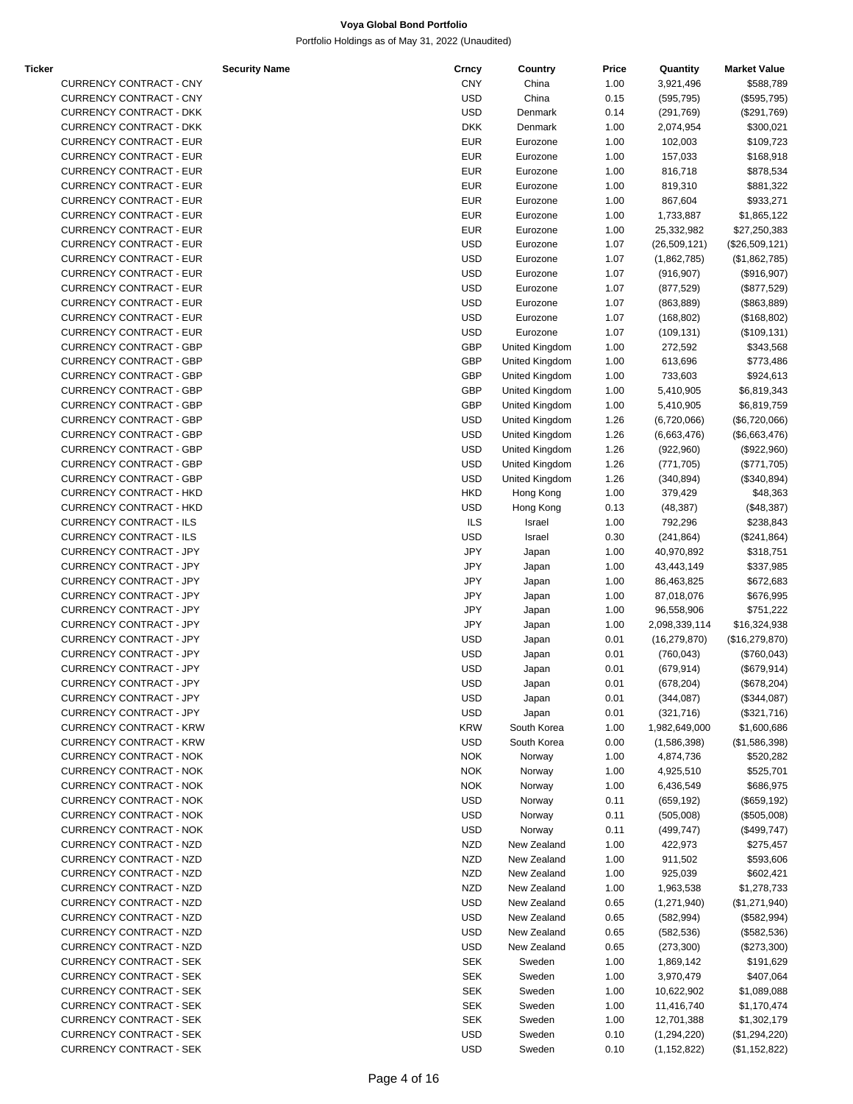Portfolio Holdings as of May 31, 2022 (Unaudited)

| Ticker |                                | <b>Security Name</b> | Crncy      | Country        | Price | Quantity       | <b>Market Value</b> |
|--------|--------------------------------|----------------------|------------|----------------|-------|----------------|---------------------|
|        | <b>CURRENCY CONTRACT - CNY</b> |                      | <b>CNY</b> | China          | 1.00  | 3,921,496      | \$588,789           |
|        | <b>CURRENCY CONTRACT - CNY</b> |                      | <b>USD</b> | China          | 0.15  | (595, 795)     | (\$595,795)         |
|        | <b>CURRENCY CONTRACT - DKK</b> |                      | <b>USD</b> | Denmark        | 0.14  | (291, 769)     | (\$291,769)         |
|        | <b>CURRENCY CONTRACT - DKK</b> |                      | <b>DKK</b> | Denmark        | 1.00  | 2,074,954      | \$300,021           |
|        | <b>CURRENCY CONTRACT - EUR</b> |                      | <b>EUR</b> | Eurozone       | 1.00  | 102,003        | \$109,723           |
|        | <b>CURRENCY CONTRACT - EUR</b> |                      | <b>EUR</b> | Eurozone       | 1.00  | 157,033        | \$168,918           |
|        | <b>CURRENCY CONTRACT - EUR</b> |                      | <b>EUR</b> | Eurozone       | 1.00  | 816,718        | \$878,534           |
|        | <b>CURRENCY CONTRACT - EUR</b> |                      | <b>EUR</b> | Eurozone       | 1.00  | 819,310        | \$881,322           |
|        | <b>CURRENCY CONTRACT - EUR</b> |                      | <b>EUR</b> | Eurozone       | 1.00  | 867,604        | \$933,271           |
|        | <b>CURRENCY CONTRACT - EUR</b> |                      |            |                |       |                |                     |
|        |                                |                      | <b>EUR</b> | Eurozone       | 1.00  | 1,733,887      | \$1,865,122         |
|        | <b>CURRENCY CONTRACT - EUR</b> |                      | <b>EUR</b> | Eurozone       | 1.00  | 25,332,982     | \$27,250,383        |
|        | <b>CURRENCY CONTRACT - EUR</b> |                      | <b>USD</b> | Eurozone       | 1.07  | (26, 509, 121) | (\$26,509,121)      |
|        | <b>CURRENCY CONTRACT - EUR</b> |                      | <b>USD</b> | Eurozone       | 1.07  | (1,862,785)    | (\$1,862,785)       |
|        | <b>CURRENCY CONTRACT - EUR</b> |                      | <b>USD</b> | Eurozone       | 1.07  | (916, 907)     | (\$916,907)         |
|        | <b>CURRENCY CONTRACT - EUR</b> |                      | <b>USD</b> | Eurozone       | 1.07  | (877, 529)     | (\$877,529)         |
|        | <b>CURRENCY CONTRACT - EUR</b> |                      | <b>USD</b> | Eurozone       | 1.07  | (863, 889)     | (\$863,889)         |
|        | <b>CURRENCY CONTRACT - EUR</b> |                      | <b>USD</b> | Eurozone       | 1.07  | (168, 802)     | (\$168,802)         |
|        | <b>CURRENCY CONTRACT - EUR</b> |                      | <b>USD</b> | Eurozone       | 1.07  | (109, 131)     | (\$109, 131)        |
|        | <b>CURRENCY CONTRACT - GBP</b> |                      | GBP        | United Kingdom | 1.00  | 272,592        | \$343,568           |
|        | <b>CURRENCY CONTRACT - GBP</b> |                      | <b>GBP</b> | United Kingdom | 1.00  | 613,696        | \$773,486           |
|        | <b>CURRENCY CONTRACT - GBP</b> |                      | GBP        | United Kingdom | 1.00  | 733,603        | \$924,613           |
|        | <b>CURRENCY CONTRACT - GBP</b> |                      | GBP        | United Kingdom | 1.00  | 5,410,905      | \$6,819,343         |
|        | <b>CURRENCY CONTRACT - GBP</b> |                      | GBP        | United Kingdom | 1.00  | 5,410,905      | \$6,819,759         |
|        |                                |                      |            | United Kingdom |       |                |                     |
|        | <b>CURRENCY CONTRACT - GBP</b> |                      | <b>USD</b> |                | 1.26  | (6,720,066)    | (\$6,720,066)       |
|        | <b>CURRENCY CONTRACT - GBP</b> |                      | <b>USD</b> | United Kingdom | 1.26  | (6,663,476)    | (\$6,663,476)       |
|        | <b>CURRENCY CONTRACT - GBP</b> |                      | <b>USD</b> | United Kingdom | 1.26  | (922, 960)     | (\$922,960)         |
|        | <b>CURRENCY CONTRACT - GBP</b> |                      | <b>USD</b> | United Kingdom | 1.26  | (771, 705)     | (\$771,705)         |
|        | <b>CURRENCY CONTRACT - GBP</b> |                      | <b>USD</b> | United Kingdom | 1.26  | (340, 894)     | (\$340,894)         |
|        | <b>CURRENCY CONTRACT - HKD</b> |                      | <b>HKD</b> | Hong Kong      | 1.00  | 379,429        | \$48,363            |
|        | <b>CURRENCY CONTRACT - HKD</b> |                      | <b>USD</b> | Hong Kong      | 0.13  | (48, 387)      | (\$48,387)          |
|        | <b>CURRENCY CONTRACT - ILS</b> |                      | <b>ILS</b> | Israel         | 1.00  | 792,296        | \$238,843           |
|        | CURRENCY CONTRACT - ILS        |                      | <b>USD</b> | Israel         | 0.30  | (241, 864)     | (\$241,864)         |
|        | CURRENCY CONTRACT - JPY        |                      | <b>JPY</b> | Japan          | 1.00  | 40,970,892     | \$318,751           |
|        | <b>CURRENCY CONTRACT - JPY</b> |                      | <b>JPY</b> | Japan          | 1.00  | 43,443,149     | \$337,985           |
|        | CURRENCY CONTRACT - JPY        |                      | <b>JPY</b> | Japan          | 1.00  | 86,463,825     | \$672,683           |
|        | <b>CURRENCY CONTRACT - JPY</b> |                      | <b>JPY</b> | Japan          | 1.00  | 87,018,076     | \$676,995           |
|        | CURRENCY CONTRACT - JPY        |                      | <b>JPY</b> | Japan          | 1.00  | 96,558,906     | \$751,222           |
|        | <b>CURRENCY CONTRACT - JPY</b> |                      | <b>JPY</b> | Japan          | 1.00  | 2,098,339,114  | \$16,324,938        |
|        | CURRENCY CONTRACT - JPY        |                      | <b>USD</b> | Japan          | 0.01  | (16, 279, 870) | (\$16,279,870)      |
|        | CURRENCY CONTRACT - JPY        |                      | <b>USD</b> |                | 0.01  |                |                     |
|        |                                |                      |            | Japan          |       | (760, 043)     | (\$760,043)         |
|        | CURRENCY CONTRACT - JPY        |                      | <b>USD</b> | Japan          | 0.01  | (679, 914)     | (\$679,914)         |
|        | <b>CURRENCY CONTRACT - JPY</b> |                      | <b>USD</b> | Japan          | 0.01  | (678, 204)     | (\$678, 204)        |
|        | <b>CURRENCY CONTRACT - JPY</b> |                      | <b>USD</b> | Japan          | 0.01  | (344, 087)     | $(\$344,087)$       |
|        | <b>CURRENCY CONTRACT - JPY</b> |                      | <b>USD</b> | Japan          | 0.01  | (321, 716)     | (\$321,716)         |
|        | <b>CURRENCY CONTRACT - KRW</b> |                      | <b>KRW</b> | South Korea    | 1.00  | 1,982,649,000  | \$1,600,686         |
|        | <b>CURRENCY CONTRACT - KRW</b> |                      | <b>USD</b> | South Korea    | 0.00  | (1,586,398)    | (\$1,586,398)       |
|        | <b>CURRENCY CONTRACT - NOK</b> |                      | <b>NOK</b> | Norway         | 1.00  | 4,874,736      | \$520,282           |
|        | <b>CURRENCY CONTRACT - NOK</b> |                      | <b>NOK</b> | Norway         | 1.00  | 4,925,510      | \$525,701           |
|        | <b>CURRENCY CONTRACT - NOK</b> |                      | <b>NOK</b> | Norway         | 1.00  | 6,436,549      | \$686,975           |
|        | <b>CURRENCY CONTRACT - NOK</b> |                      | <b>USD</b> | Norway         | 0.11  | (659, 192)     | (\$659, 192)        |
|        | <b>CURRENCY CONTRACT - NOK</b> |                      | <b>USD</b> | Norway         | 0.11  | (505,008)      | (\$505,008)         |
|        | <b>CURRENCY CONTRACT - NOK</b> |                      | <b>USD</b> | Norway         | 0.11  | (499, 747)     | (\$499,747)         |
|        | CURRENCY CONTRACT - NZD        |                      | <b>NZD</b> | New Zealand    | 1.00  | 422,973        | \$275,457           |
|        | CURRENCY CONTRACT - NZD        |                      | <b>NZD</b> | New Zealand    | 1.00  | 911,502        | \$593,606           |
|        | CURRENCY CONTRACT - NZD        |                      | <b>NZD</b> | New Zealand    | 1.00  | 925,039        | \$602,421           |
|        | CURRENCY CONTRACT - NZD        |                      | <b>NZD</b> | New Zealand    | 1.00  |                |                     |
|        |                                |                      |            |                |       | 1,963,538      | \$1,278,733         |
|        | CURRENCY CONTRACT - NZD        |                      | <b>USD</b> | New Zealand    | 0.65  | (1,271,940)    | (\$1,271,940)       |
|        | <b>CURRENCY CONTRACT - NZD</b> |                      | <b>USD</b> | New Zealand    | 0.65  | (582, 994)     | (\$582,994)         |
|        | CURRENCY CONTRACT - NZD        |                      | <b>USD</b> | New Zealand    | 0.65  | (582, 536)     | (\$582,536)         |
|        | CURRENCY CONTRACT - NZD        |                      | <b>USD</b> | New Zealand    | 0.65  | (273, 300)     | (\$273,300)         |
|        | <b>CURRENCY CONTRACT - SEK</b> |                      | <b>SEK</b> | Sweden         | 1.00  | 1,869,142      | \$191,629           |
|        | <b>CURRENCY CONTRACT - SEK</b> |                      | <b>SEK</b> | Sweden         | 1.00  | 3,970,479      | \$407,064           |
|        | <b>CURRENCY CONTRACT - SEK</b> |                      | <b>SEK</b> | Sweden         | 1.00  | 10,622,902     | \$1,089,088         |
|        | <b>CURRENCY CONTRACT - SEK</b> |                      | <b>SEK</b> | Sweden         | 1.00  | 11,416,740     | \$1,170,474         |
|        | <b>CURRENCY CONTRACT - SEK</b> |                      | <b>SEK</b> | Sweden         | 1.00  | 12,701,388     | \$1,302,179         |
|        | <b>CURRENCY CONTRACT - SEK</b> |                      | <b>USD</b> | Sweden         | 0.10  | (1,294,220)    | (\$1,294,220)       |

CURRENCY CONTRACT - SEK USD Sweden 0.10 (1,152,822) (\$1,152,822)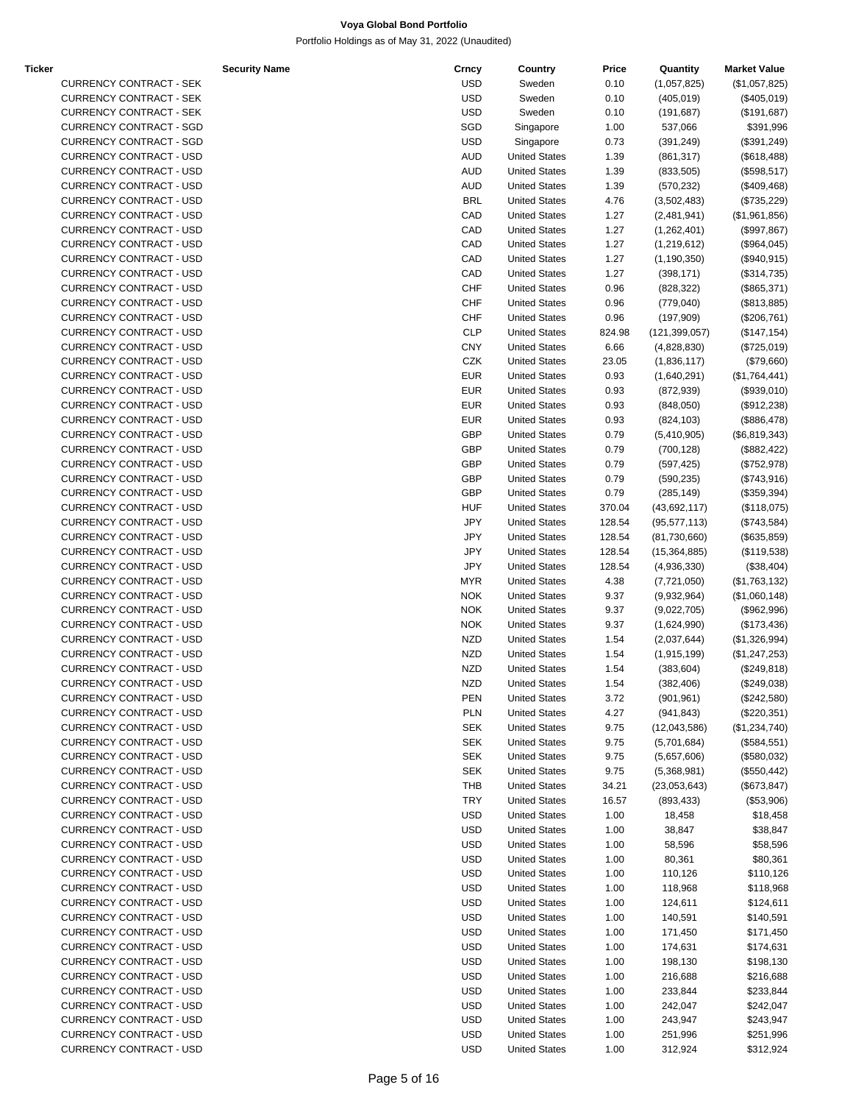Portfolio Holdings as of May 31, 2022 (Unaudited)

| Ticker |                                | <b>Security Name</b> | Crncy      | Country              | Price  | Quantity        | <b>Market Value</b> |
|--------|--------------------------------|----------------------|------------|----------------------|--------|-----------------|---------------------|
|        | <b>CURRENCY CONTRACT - SEK</b> |                      | <b>USD</b> | Sweden               | 0.10   | (1,057,825)     | (\$1,057,825)       |
|        | <b>CURRENCY CONTRACT - SEK</b> |                      | <b>USD</b> | Sweden               | 0.10   | (405, 019)      | (\$405,019)         |
|        | <b>CURRENCY CONTRACT - SEK</b> |                      | <b>USD</b> | Sweden               | 0.10   | (191, 687)      | (\$191,687)         |
|        | <b>CURRENCY CONTRACT - SGD</b> |                      | SGD        | Singapore            | 1.00   | 537,066         | \$391,996           |
|        | <b>CURRENCY CONTRACT - SGD</b> |                      | <b>USD</b> | Singapore            | 0.73   | (391, 249)      | (\$391,249)         |
|        | <b>CURRENCY CONTRACT - USD</b> |                      | <b>AUD</b> | <b>United States</b> | 1.39   | (861, 317)      | (\$618,488)         |
|        | <b>CURRENCY CONTRACT - USD</b> |                      | <b>AUD</b> | <b>United States</b> | 1.39   | (833, 505)      | (\$598,517)         |
|        | <b>CURRENCY CONTRACT - USD</b> |                      | <b>AUD</b> | <b>United States</b> | 1.39   |                 |                     |
|        |                                |                      |            |                      |        | (570, 232)      | (\$409,468)         |
|        | <b>CURRENCY CONTRACT - USD</b> |                      | <b>BRL</b> | <b>United States</b> | 4.76   | (3,502,483)     | (\$735,229)         |
|        | <b>CURRENCY CONTRACT - USD</b> |                      | CAD        | <b>United States</b> | 1.27   | (2,481,941)     | (\$1,961,856)       |
|        | <b>CURRENCY CONTRACT - USD</b> |                      | CAD        | <b>United States</b> | 1.27   | (1,262,401)     | (\$997, 867)        |
|        | <b>CURRENCY CONTRACT - USD</b> |                      | CAD        | <b>United States</b> | 1.27   | (1,219,612)     | (\$964,045)         |
|        | <b>CURRENCY CONTRACT - USD</b> |                      | CAD        | <b>United States</b> | 1.27   | (1, 190, 350)   | (\$940,915)         |
|        | <b>CURRENCY CONTRACT - USD</b> |                      | CAD        | <b>United States</b> | 1.27   | (398, 171)      | (\$314,735)         |
|        | <b>CURRENCY CONTRACT - USD</b> |                      | CHF        | <b>United States</b> | 0.96   | (828, 322)      | (\$865,371)         |
|        | <b>CURRENCY CONTRACT - USD</b> |                      | CHF        | <b>United States</b> | 0.96   | (779, 040)      | (\$813,885)         |
|        | <b>CURRENCY CONTRACT - USD</b> |                      | CHF        | <b>United States</b> | 0.96   | (197,909)       | (\$206,761)         |
|        | <b>CURRENCY CONTRACT - USD</b> |                      | <b>CLP</b> | <b>United States</b> | 824.98 | (121, 399, 057) | (\$147, 154)        |
|        | <b>CURRENCY CONTRACT - USD</b> |                      | <b>CNY</b> | <b>United States</b> | 6.66   | (4,828,830)     | (\$725,019)         |
|        | <b>CURRENCY CONTRACT - USD</b> |                      | CZK        | <b>United States</b> | 23.05  | (1,836,117)     | (\$79,660)          |
|        | <b>CURRENCY CONTRACT - USD</b> |                      | <b>EUR</b> | <b>United States</b> | 0.93   | (1,640,291)     | (\$1,764,441)       |
|        | <b>CURRENCY CONTRACT - USD</b> |                      | <b>EUR</b> | <b>United States</b> | 0.93   | (872, 939)      | (\$939,010)         |
|        |                                |                      |            |                      |        |                 |                     |
|        | <b>CURRENCY CONTRACT - USD</b> |                      | <b>EUR</b> | <b>United States</b> | 0.93   | (848,050)       | (\$912,238)         |
|        | <b>CURRENCY CONTRACT - USD</b> |                      | <b>EUR</b> | <b>United States</b> | 0.93   | (824, 103)      | (\$886,478)         |
|        | <b>CURRENCY CONTRACT - USD</b> |                      | <b>GBP</b> | <b>United States</b> | 0.79   | (5,410,905)     | (\$6,819,343)       |
|        | <b>CURRENCY CONTRACT - USD</b> |                      | GBP        | <b>United States</b> | 0.79   | (700, 128)      | (\$882,422)         |
|        | <b>CURRENCY CONTRACT - USD</b> |                      | <b>GBP</b> | <b>United States</b> | 0.79   | (597, 425)      | (\$752,978)         |
|        | <b>CURRENCY CONTRACT - USD</b> |                      | GBP        | <b>United States</b> | 0.79   | (590, 235)      | (\$743,916)         |
|        | <b>CURRENCY CONTRACT - USD</b> |                      | <b>GBP</b> | <b>United States</b> | 0.79   | (285, 149)      | (\$359,394)         |
|        | <b>CURRENCY CONTRACT - USD</b> |                      | <b>HUF</b> | <b>United States</b> | 370.04 | (43,692,117)    | (\$118,075)         |
|        | <b>CURRENCY CONTRACT - USD</b> |                      | JPY        | <b>United States</b> | 128.54 | (95, 577, 113)  | (\$743,584)         |
|        | <b>CURRENCY CONTRACT - USD</b> |                      | JPY        | <b>United States</b> | 128.54 | (81,730,660)    | (\$635, 859)        |
|        | <b>CURRENCY CONTRACT - USD</b> |                      | JPY        | <b>United States</b> | 128.54 | (15, 364, 885)  | (\$119,538)         |
|        | <b>CURRENCY CONTRACT - USD</b> |                      | JPY        | <b>United States</b> | 128.54 | (4,936,330)     | (\$38,404)          |
|        | <b>CURRENCY CONTRACT - USD</b> |                      | <b>MYR</b> | <b>United States</b> | 4.38   | (7, 721, 050)   | (\$1,763,132)       |
|        | <b>CURRENCY CONTRACT - USD</b> |                      | <b>NOK</b> | <b>United States</b> | 9.37   | (9,932,964)     | (\$1,060,148)       |
|        | <b>CURRENCY CONTRACT - USD</b> |                      | <b>NOK</b> | <b>United States</b> | 9.37   |                 |                     |
|        | <b>CURRENCY CONTRACT - USD</b> |                      | <b>NOK</b> |                      |        | (9,022,705)     | (\$962,996)         |
|        |                                |                      |            | <b>United States</b> | 9.37   | (1,624,990)     | (\$173,436)         |
|        | <b>CURRENCY CONTRACT - USD</b> |                      | <b>NZD</b> | <b>United States</b> | 1.54   | (2,037,644)     | (\$1,326,994)       |
|        | <b>CURRENCY CONTRACT - USD</b> |                      | <b>NZD</b> | <b>United States</b> | 1.54   | (1, 915, 199)   | (\$1,247,253)       |
|        | <b>CURRENCY CONTRACT - USD</b> |                      | <b>NZD</b> | <b>United States</b> | 1.54   | (383, 604)      | (\$249,818)         |
|        | <b>CURRENCY CONTRACT - USD</b> |                      | <b>NZD</b> | <b>United States</b> | 1.54   | (382, 406)      | (\$249,038)         |
|        | CURRENCY CONTRACT - USD        |                      | PEN        | <b>United States</b> | 3.72   | (901, 961)      | (\$242,580)         |
|        | CURRENCY CONTRACT - USD        |                      | PLN        | <b>United States</b> | 4.27   | (941, 843)      | (\$220,351)         |
|        | CURRENCY CONTRACT - USD        |                      | <b>SEK</b> | <b>United States</b> | 9.75   | (12,043,586)    | (\$1,234,740)       |
|        | CURRENCY CONTRACT - USD        |                      | <b>SEK</b> | <b>United States</b> | 9.75   | (5,701,684)     | (\$584,551)         |
|        | <b>CURRENCY CONTRACT - USD</b> |                      | <b>SEK</b> | <b>United States</b> | 9.75   | (5,657,606)     | (\$580,032)         |
|        | <b>CURRENCY CONTRACT - USD</b> |                      | <b>SEK</b> | <b>United States</b> | 9.75   | (5,368,981)     | (\$550,442)         |
|        | <b>CURRENCY CONTRACT - USD</b> |                      | <b>THB</b> | <b>United States</b> | 34.21  | (23,053,643)    | (\$673, 847)        |
|        | <b>CURRENCY CONTRACT - USD</b> |                      | <b>TRY</b> | <b>United States</b> | 16.57  | (893, 433)      | (\$53,906)          |
|        | CURRENCY CONTRACT - USD        |                      | <b>USD</b> | <b>United States</b> | 1.00   | 18,458          | \$18,458            |
|        | <b>CURRENCY CONTRACT - USD</b> |                      | <b>USD</b> | <b>United States</b> | 1.00   | 38,847          | \$38,847            |
|        | <b>CURRENCY CONTRACT - USD</b> |                      |            |                      |        |                 |                     |
|        |                                |                      | <b>USD</b> | <b>United States</b> | 1.00   | 58,596          | \$58,596            |
|        | <b>CURRENCY CONTRACT - USD</b> |                      | <b>USD</b> | <b>United States</b> | 1.00   | 80,361          | \$80,361            |
|        | CURRENCY CONTRACT - USD        |                      | <b>USD</b> | <b>United States</b> | 1.00   | 110,126         | \$110,126           |
|        | <b>CURRENCY CONTRACT - USD</b> |                      | <b>USD</b> | <b>United States</b> | 1.00   | 118,968         | \$118,968           |
|        | <b>CURRENCY CONTRACT - USD</b> |                      | <b>USD</b> | <b>United States</b> | 1.00   | 124,611         | \$124,611           |
|        | <b>CURRENCY CONTRACT - USD</b> |                      | <b>USD</b> | <b>United States</b> | 1.00   | 140,591         | \$140,591           |
|        | CURRENCY CONTRACT - USD        |                      | <b>USD</b> | <b>United States</b> | 1.00   | 171,450         | \$171,450           |
|        | <b>CURRENCY CONTRACT - USD</b> |                      | <b>USD</b> | <b>United States</b> | 1.00   | 174,631         | \$174,631           |
|        | <b>CURRENCY CONTRACT - USD</b> |                      | <b>USD</b> | <b>United States</b> | 1.00   | 198,130         | \$198,130           |
|        | <b>CURRENCY CONTRACT - USD</b> |                      | <b>USD</b> | <b>United States</b> | 1.00   | 216,688         | \$216,688           |
|        | <b>CURRENCY CONTRACT - USD</b> |                      | <b>USD</b> | <b>United States</b> | 1.00   | 233,844         | \$233,844           |
|        | <b>CURRENCY CONTRACT - USD</b> |                      | <b>USD</b> | <b>United States</b> | 1.00   | 242,047         | \$242,047           |
|        | <b>CURRENCY CONTRACT - USD</b> |                      | <b>USD</b> | <b>United States</b> | 1.00   | 243,947         | \$243,947           |
|        |                                |                      |            |                      |        |                 |                     |

CURRENCY CONTRACT - USD CURRENCY CONTRACT - USD CURRENCY CONTRACT - USD CURRENCY CONTRACT - USD CURRENCY CONTRACT - USD CURRENCY CONTRACT - USD CURRENCY CONTRACT - USD CURRENCY CONTRACT - USD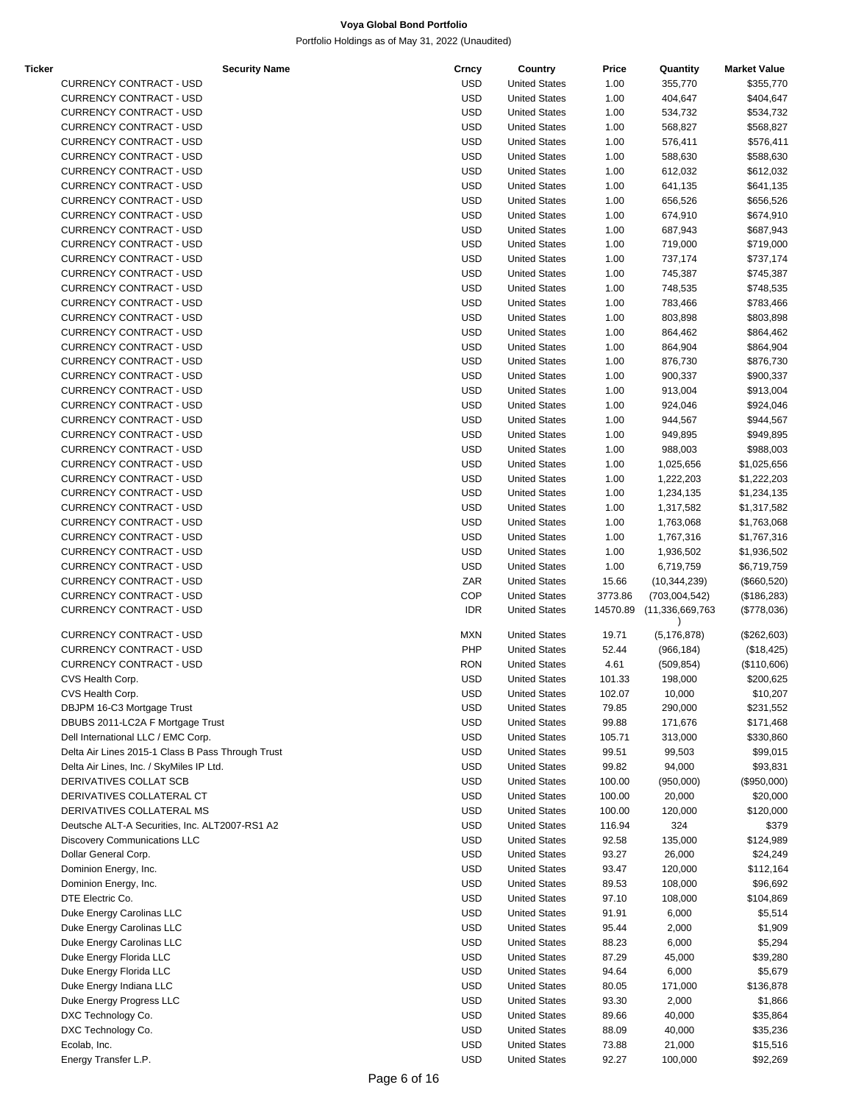| Ticker | <b>Security Name</b>                              | Crncy      | Country              | Price    | Quantity         | <b>Market Value</b> |
|--------|---------------------------------------------------|------------|----------------------|----------|------------------|---------------------|
|        | <b>CURRENCY CONTRACT - USD</b>                    | <b>USD</b> | <b>United States</b> | 1.00     | 355,770          | \$355,770           |
|        | <b>CURRENCY CONTRACT - USD</b>                    | <b>USD</b> | <b>United States</b> | 1.00     | 404,647          | \$404,647           |
|        | <b>CURRENCY CONTRACT - USD</b>                    | <b>USD</b> | <b>United States</b> | 1.00     | 534,732          | \$534,732           |
|        | <b>CURRENCY CONTRACT - USD</b>                    | <b>USD</b> | <b>United States</b> | 1.00     | 568,827          | \$568,827           |
|        | <b>CURRENCY CONTRACT - USD</b>                    | <b>USD</b> | <b>United States</b> | 1.00     | 576,411          | \$576,411           |
|        | <b>CURRENCY CONTRACT - USD</b>                    |            |                      |          |                  |                     |
|        |                                                   | <b>USD</b> | <b>United States</b> | 1.00     | 588,630          | \$588,630           |
|        | <b>CURRENCY CONTRACT - USD</b>                    | <b>USD</b> | <b>United States</b> | 1.00     | 612,032          | \$612,032           |
|        | <b>CURRENCY CONTRACT - USD</b>                    | <b>USD</b> | <b>United States</b> | 1.00     | 641,135          | \$641,135           |
|        | <b>CURRENCY CONTRACT - USD</b>                    | <b>USD</b> | <b>United States</b> | 1.00     | 656,526          | \$656,526           |
|        | <b>CURRENCY CONTRACT - USD</b>                    | <b>USD</b> | <b>United States</b> | 1.00     | 674,910          | \$674,910           |
|        | <b>CURRENCY CONTRACT - USD</b>                    | <b>USD</b> | <b>United States</b> | 1.00     | 687,943          | \$687,943           |
|        | CURRENCY CONTRACT - USD                           | <b>USD</b> | <b>United States</b> | 1.00     | 719,000          | \$719,000           |
|        | <b>CURRENCY CONTRACT - USD</b>                    | <b>USD</b> | <b>United States</b> | 1.00     | 737,174          |                     |
|        |                                                   |            |                      |          |                  | \$737,174           |
|        | <b>CURRENCY CONTRACT - USD</b>                    | <b>USD</b> | <b>United States</b> | 1.00     | 745,387          | \$745,387           |
|        | <b>CURRENCY CONTRACT - USD</b>                    | <b>USD</b> | <b>United States</b> | 1.00     | 748,535          | \$748,535           |
|        | <b>CURRENCY CONTRACT - USD</b>                    | <b>USD</b> | <b>United States</b> | 1.00     | 783,466          | \$783,466           |
|        | <b>CURRENCY CONTRACT - USD</b>                    | <b>USD</b> | <b>United States</b> | 1.00     | 803,898          | \$803,898           |
|        | <b>CURRENCY CONTRACT - USD</b>                    | <b>USD</b> | <b>United States</b> | 1.00     | 864,462          | \$864,462           |
|        | <b>CURRENCY CONTRACT - USD</b>                    | <b>USD</b> | <b>United States</b> | 1.00     | 864,904          | \$864,904           |
|        |                                                   | <b>USD</b> |                      |          |                  |                     |
|        | CURRENCY CONTRACT - USD                           |            | <b>United States</b> | 1.00     | 876,730          | \$876,730           |
|        | <b>CURRENCY CONTRACT - USD</b>                    | <b>USD</b> | <b>United States</b> | 1.00     | 900,337          | \$900,337           |
|        | <b>CURRENCY CONTRACT - USD</b>                    | <b>USD</b> | <b>United States</b> | 1.00     | 913,004          | \$913,004           |
|        | <b>CURRENCY CONTRACT - USD</b>                    | <b>USD</b> | <b>United States</b> | 1.00     | 924,046          | \$924,046           |
|        | <b>CURRENCY CONTRACT - USD</b>                    | <b>USD</b> | <b>United States</b> | 1.00     | 944,567          | \$944,567           |
|        | <b>CURRENCY CONTRACT - USD</b>                    | <b>USD</b> | <b>United States</b> | 1.00     | 949,895          | \$949,895           |
|        | <b>CURRENCY CONTRACT - USD</b>                    | <b>USD</b> | <b>United States</b> | 1.00     | 988,003          | \$988,003           |
|        |                                                   |            |                      |          |                  |                     |
|        | <b>CURRENCY CONTRACT - USD</b>                    | <b>USD</b> | <b>United States</b> | 1.00     | 1,025,656        | \$1,025,656         |
|        | CURRENCY CONTRACT - USD                           | <b>USD</b> | <b>United States</b> | 1.00     | 1,222,203        | \$1,222,203         |
|        | <b>CURRENCY CONTRACT - USD</b>                    | <b>USD</b> | <b>United States</b> | 1.00     | 1,234,135        | \$1,234,135         |
|        | <b>CURRENCY CONTRACT - USD</b>                    | <b>USD</b> | <b>United States</b> | 1.00     | 1,317,582        | \$1,317,582         |
|        | <b>CURRENCY CONTRACT - USD</b>                    | <b>USD</b> | <b>United States</b> | 1.00     | 1,763,068        | \$1,763,068         |
|        | <b>CURRENCY CONTRACT - USD</b>                    | <b>USD</b> | <b>United States</b> | 1.00     | 1,767,316        | \$1,767,316         |
|        | <b>CURRENCY CONTRACT - USD</b>                    | <b>USD</b> | <b>United States</b> | 1.00     | 1,936,502        | \$1,936,502         |
|        |                                                   |            |                      |          |                  |                     |
|        | <b>CURRENCY CONTRACT - USD</b>                    | <b>USD</b> | <b>United States</b> | 1.00     | 6,719,759        | \$6,719,759         |
|        | <b>CURRENCY CONTRACT - USD</b>                    | ZAR        | <b>United States</b> | 15.66    | (10, 344, 239)   | (\$660,520)         |
|        | <b>CURRENCY CONTRACT - USD</b>                    | <b>COP</b> | <b>United States</b> | 3773.86  | (703,004,542)    | (\$186,283)         |
|        | <b>CURRENCY CONTRACT - USD</b>                    | <b>IDR</b> | <b>United States</b> | 14570.89 | (11,336,669,763) | (\$778,036)         |
|        |                                                   |            |                      |          |                  |                     |
|        | <b>CURRENCY CONTRACT - USD</b>                    | <b>MXN</b> | <b>United States</b> | 19.71    | (5, 176, 878)    | $(\$262,603)$       |
|        | <b>CURRENCY CONTRACT - USD</b>                    | PHP        | <b>United States</b> | 52.44    | (966, 184)       | (\$18,425)          |
|        | <b>CURRENCY CONTRACT - USD</b>                    | <b>RON</b> | <b>United States</b> | 4.61     | (509, 854)       | (\$110,606)         |
|        | CVS Health Corp.                                  | <b>USD</b> | <b>United States</b> | 101.33   | 198,000          | \$200,625           |
|        | CVS Health Corp.                                  | USD        | <b>United States</b> | 102.07   | 10,000           | \$10,207            |
|        | DBJPM 16-C3 Mortgage Trust                        | USD        | <b>United States</b> | 79.85    | 290,000          | \$231,552           |
|        | DBUBS 2011-LC2A F Mortgage Trust                  | <b>USD</b> | <b>United States</b> | 99.88    |                  |                     |
|        |                                                   |            |                      |          | 171,676          | \$171,468           |
|        | Dell International LLC / EMC Corp.                | <b>USD</b> | <b>United States</b> | 105.71   | 313,000          | \$330,860           |
|        | Delta Air Lines 2015-1 Class B Pass Through Trust | <b>USD</b> | <b>United States</b> | 99.51    | 99,503           | \$99,015            |
|        | Delta Air Lines, Inc. / SkyMiles IP Ltd.          | <b>USD</b> | <b>United States</b> | 99.82    | 94,000           | \$93,831            |
|        | DERIVATIVES COLLAT SCB                            | <b>USD</b> | <b>United States</b> | 100.00   | (950,000)        | (\$950,000)         |
|        | DERIVATIVES COLLATERAL CT                         | USD        | <b>United States</b> | 100.00   | 20,000           | \$20,000            |
|        | DERIVATIVES COLLATERAL MS                         | <b>USD</b> | <b>United States</b> | 100.00   | 120,000          | \$120,000           |
|        |                                                   |            |                      |          |                  |                     |
|        | Deutsche ALT-A Securities, Inc. ALT2007-RS1 A2    | <b>USD</b> | <b>United States</b> | 116.94   | 324              | \$379               |
|        | <b>Discovery Communications LLC</b>               | <b>USD</b> | <b>United States</b> | 92.58    | 135,000          | \$124,989           |
|        | Dollar General Corp.                              | <b>USD</b> | <b>United States</b> | 93.27    | 26,000           | \$24,249            |
|        | Dominion Energy, Inc.                             | <b>USD</b> | <b>United States</b> | 93.47    | 120,000          | \$112,164           |
|        | Dominion Energy, Inc.                             | USD        | <b>United States</b> | 89.53    | 108,000          | \$96,692            |
|        | DTE Electric Co.                                  | <b>USD</b> | <b>United States</b> | 97.10    | 108,000          | \$104,869           |
|        | Duke Energy Carolinas LLC                         | <b>USD</b> | <b>United States</b> | 91.91    | 6,000            | \$5,514             |
|        |                                                   |            |                      |          |                  |                     |
|        | Duke Energy Carolinas LLC                         | USD        | <b>United States</b> | 95.44    | 2,000            | \$1,909             |
|        | Duke Energy Carolinas LLC                         | <b>USD</b> | <b>United States</b> | 88.23    | 6,000            | \$5,294             |
|        | Duke Energy Florida LLC                           | <b>USD</b> | <b>United States</b> | 87.29    | 45,000           | \$39,280            |
|        | Duke Energy Florida LLC                           | USD        | <b>United States</b> | 94.64    | 6,000            | \$5,679             |
|        | Duke Energy Indiana LLC                           | <b>USD</b> | <b>United States</b> | 80.05    | 171,000          | \$136,878           |
|        | Duke Energy Progress LLC                          | <b>USD</b> | <b>United States</b> | 93.30    | 2,000            |                     |
|        |                                                   |            |                      |          |                  | \$1,866             |
|        | DXC Technology Co.                                | <b>USD</b> | <b>United States</b> | 89.66    | 40,000           | \$35,864            |
|        | DXC Technology Co.                                | <b>USD</b> | <b>United States</b> | 88.09    | 40,000           | \$35,236            |
|        | Ecolab, Inc.                                      | USD        | <b>United States</b> | 73.88    | 21,000           | \$15,516            |
|        | Energy Transfer L.P.                              | <b>USD</b> | <b>United States</b> | 92.27    | 100,000          | \$92,269            |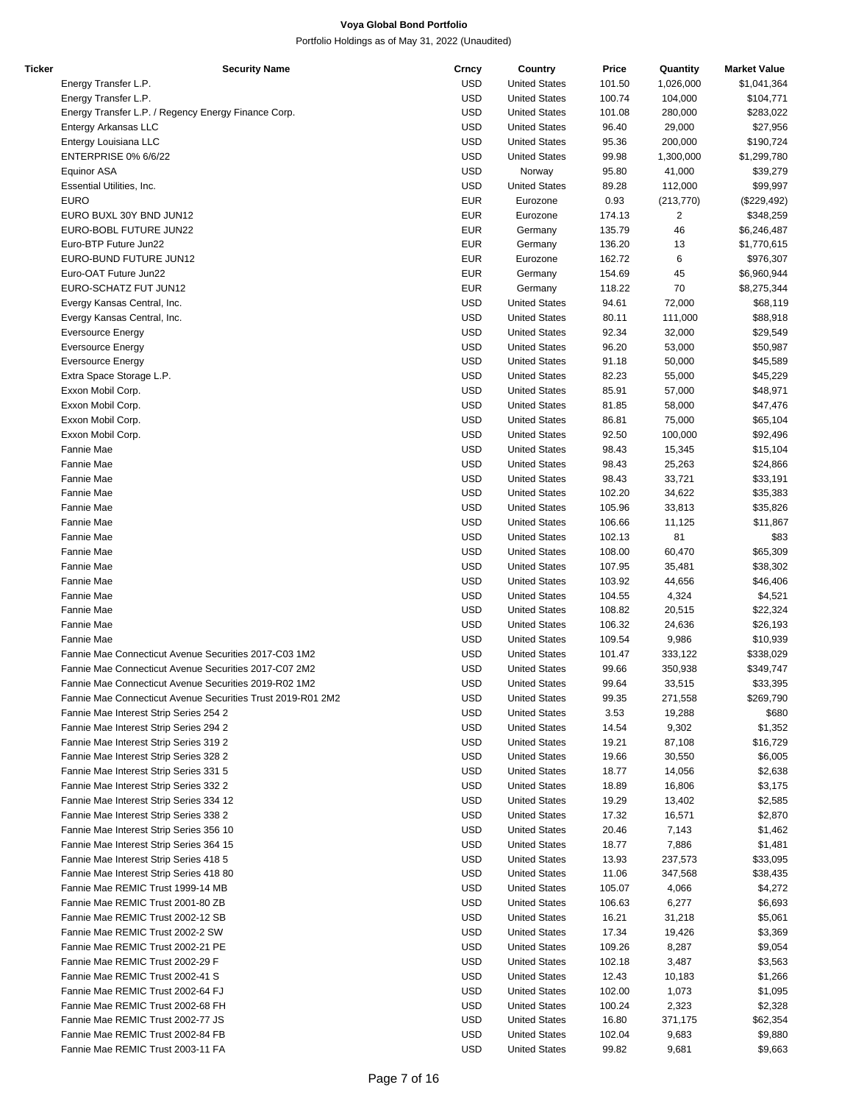| Ticker | <b>Security Name</b>                                        | Crncy      | Country              | Price  | Quantity   | <b>Market Value</b> |
|--------|-------------------------------------------------------------|------------|----------------------|--------|------------|---------------------|
|        | Energy Transfer L.P.                                        | <b>USD</b> | <b>United States</b> | 101.50 | 1,026,000  | \$1,041,364         |
|        | Energy Transfer L.P.                                        | <b>USD</b> | <b>United States</b> | 100.74 | 104,000    | \$104,771           |
|        | Energy Transfer L.P. / Regency Energy Finance Corp.         | <b>USD</b> | <b>United States</b> | 101.08 | 280,000    | \$283,022           |
|        | Entergy Arkansas LLC                                        | <b>USD</b> | <b>United States</b> | 96.40  | 29,000     | \$27,956            |
|        | Entergy Louisiana LLC                                       | <b>USD</b> | <b>United States</b> | 95.36  | 200,000    | \$190,724           |
|        | <b>ENTERPRISE 0% 6/6/22</b>                                 | <b>USD</b> | <b>United States</b> | 99.98  | 1,300,000  | \$1,299,780         |
|        | <b>Equinor ASA</b>                                          | <b>USD</b> | Norway               | 95.80  | 41,000     | \$39,279            |
|        | Essential Utilities, Inc.                                   | <b>USD</b> | <b>United States</b> | 89.28  | 112,000    | \$99,997            |
|        | <b>EURO</b>                                                 | <b>EUR</b> | Eurozone             | 0.93   | (213, 770) | (\$229,492)         |
|        | EURO BUXL 30Y BND JUN12                                     | <b>EUR</b> | Eurozone             | 174.13 | 2          | \$348,259           |
|        | EURO-BOBL FUTURE JUN22                                      | <b>EUR</b> |                      |        |            |                     |
|        |                                                             |            | Germany              | 135.79 | 46         | \$6,246,487         |
|        | Euro-BTP Future Jun22                                       | <b>EUR</b> | Germany              | 136.20 | 13         | \$1,770,615         |
|        | EURO-BUND FUTURE JUN12                                      | <b>EUR</b> | Eurozone             | 162.72 | 6          | \$976,307           |
|        | Euro-OAT Future Jun22                                       | <b>EUR</b> | Germany              | 154.69 | 45         | \$6,960,944         |
|        | EURO-SCHATZ FUT JUN12                                       | <b>EUR</b> | Germany              | 118.22 | 70         | \$8,275,344         |
|        | Evergy Kansas Central, Inc.                                 | <b>USD</b> | <b>United States</b> | 94.61  | 72,000     | \$68,119            |
|        | Evergy Kansas Central, Inc.                                 | <b>USD</b> | <b>United States</b> | 80.11  | 111,000    | \$88,918            |
|        | <b>Eversource Energy</b>                                    | <b>USD</b> | <b>United States</b> | 92.34  | 32,000     | \$29,549            |
|        | <b>Eversource Energy</b>                                    | <b>USD</b> | <b>United States</b> | 96.20  | 53,000     | \$50,987            |
|        | <b>Eversource Energy</b>                                    | <b>USD</b> | <b>United States</b> | 91.18  | 50,000     | \$45,589            |
|        | Extra Space Storage L.P.                                    | <b>USD</b> | <b>United States</b> | 82.23  | 55,000     | \$45,229            |
|        | Exxon Mobil Corp.                                           | <b>USD</b> | <b>United States</b> | 85.91  | 57,000     | \$48,971            |
|        | Exxon Mobil Corp.                                           | <b>USD</b> | <b>United States</b> | 81.85  | 58,000     | \$47,476            |
|        | Exxon Mobil Corp.                                           | <b>USD</b> | <b>United States</b> | 86.81  | 75,000     | \$65,104            |
|        | Exxon Mobil Corp.                                           | <b>USD</b> | <b>United States</b> | 92.50  | 100,000    | \$92,496            |
|        | Fannie Mae                                                  | <b>USD</b> | <b>United States</b> | 98.43  | 15,345     | \$15,104            |
|        | Fannie Mae                                                  | <b>USD</b> | <b>United States</b> | 98.43  | 25,263     | \$24,866            |
|        | Fannie Mae                                                  | <b>USD</b> | <b>United States</b> | 98.43  | 33,721     | \$33,191            |
|        | Fannie Mae                                                  | <b>USD</b> | <b>United States</b> | 102.20 | 34,622     | \$35,383            |
|        | Fannie Mae                                                  | <b>USD</b> | <b>United States</b> | 105.96 | 33,813     | \$35,826            |
|        | Fannie Mae                                                  | <b>USD</b> | <b>United States</b> | 106.66 |            |                     |
|        |                                                             |            |                      |        | 11,125     | \$11,867            |
|        | Fannie Mae                                                  | <b>USD</b> | <b>United States</b> | 102.13 | 81         | \$83                |
|        | Fannie Mae                                                  | <b>USD</b> | <b>United States</b> | 108.00 | 60,470     | \$65,309            |
|        | Fannie Mae                                                  | <b>USD</b> | <b>United States</b> | 107.95 | 35,481     | \$38,302            |
|        | Fannie Mae                                                  | <b>USD</b> | <b>United States</b> | 103.92 | 44,656     | \$46,406            |
|        | Fannie Mae                                                  | <b>USD</b> | <b>United States</b> | 104.55 | 4,324      | \$4,521             |
|        | Fannie Mae                                                  | <b>USD</b> | <b>United States</b> | 108.82 | 20,515     | \$22,324            |
|        | Fannie Mae                                                  | <b>USD</b> | <b>United States</b> | 106.32 | 24,636     | \$26,193            |
|        | Fannie Mae                                                  | <b>USD</b> | <b>United States</b> | 109.54 | 9,986      | \$10,939            |
|        | Fannie Mae Connecticut Avenue Securities 2017-C03 1M2       | <b>USD</b> | <b>United States</b> | 101.47 | 333,122    | \$338,029           |
|        | Fannie Mae Connecticut Avenue Securities 2017-C07 2M2       | <b>USD</b> | <b>United States</b> | 99.66  | 350,938    | \$349,747           |
|        | Fannie Mae Connecticut Avenue Securities 2019-R02 1M2       | <b>USD</b> | <b>United States</b> | 99.64  | 33,515     | \$33,395            |
|        | Fannie Mae Connecticut Avenue Securities Trust 2019-R01 2M2 | <b>USD</b> | <b>United States</b> | 99.35  | 271,558    | \$269,790           |
|        | Fannie Mae Interest Strip Series 254 2                      | <b>USD</b> | <b>United States</b> | 3.53   | 19,288     | \$680               |
|        | Fannie Mae Interest Strip Series 294 2                      | <b>USD</b> | <b>United States</b> | 14.54  | 9,302      | \$1,352             |
|        | Fannie Mae Interest Strip Series 319 2                      | USD        | <b>United States</b> | 19.21  | 87,108     | \$16,729            |
|        | Fannie Mae Interest Strip Series 328 2                      | USD        | <b>United States</b> | 19.66  | 30,550     | \$6,005             |
|        | Fannie Mae Interest Strip Series 331 5                      | USD        | <b>United States</b> | 18.77  | 14,056     | \$2,638             |
|        | Fannie Mae Interest Strip Series 332 2                      | USD        | <b>United States</b> | 18.89  | 16,806     | \$3,175             |
|        | Fannie Mae Interest Strip Series 334 12                     | USD        | <b>United States</b> | 19.29  | 13,402     | \$2,585             |
|        | Fannie Mae Interest Strip Series 338 2                      | <b>USD</b> | <b>United States</b> | 17.32  | 16,571     | \$2,870             |
|        | Fannie Mae Interest Strip Series 356 10                     | <b>USD</b> | <b>United States</b> | 20.46  | 7,143      | \$1,462             |
|        | Fannie Mae Interest Strip Series 364 15                     | USD        | <b>United States</b> | 18.77  | 7,886      | \$1,481             |
|        | Fannie Mae Interest Strip Series 418 5                      | USD        |                      | 13.93  | 237,573    |                     |
|        |                                                             |            | <b>United States</b> |        |            | \$33,095            |
|        | Fannie Mae Interest Strip Series 418 80                     | USD        | <b>United States</b> | 11.06  | 347,568    | \$38,435            |
|        | Fannie Mae REMIC Trust 1999-14 MB                           | USD        | <b>United States</b> | 105.07 | 4,066      | \$4,272             |
|        | Fannie Mae REMIC Trust 2001-80 ZB                           | USD        | <b>United States</b> | 106.63 | 6,277      | \$6,693             |
|        | Fannie Mae REMIC Trust 2002-12 SB                           | USD        | <b>United States</b> | 16.21  | 31,218     | \$5,061             |
|        | Fannie Mae REMIC Trust 2002-2 SW                            | <b>USD</b> | <b>United States</b> | 17.34  | 19,426     | \$3,369             |
|        | Fannie Mae REMIC Trust 2002-21 PE                           | <b>USD</b> | <b>United States</b> | 109.26 | 8,287      | \$9,054             |
|        | Fannie Mae REMIC Trust 2002-29 F                            | USD        | <b>United States</b> | 102.18 | 3,487      | \$3,563             |
|        | Fannie Mae REMIC Trust 2002-41 S                            | USD        | <b>United States</b> | 12.43  | 10,183     | \$1,266             |
|        | Fannie Mae REMIC Trust 2002-64 FJ                           | USD        | <b>United States</b> | 102.00 | 1,073      | \$1,095             |
|        | Fannie Mae REMIC Trust 2002-68 FH                           | USD        | <b>United States</b> | 100.24 | 2,323      | \$2,328             |
|        | Fannie Mae REMIC Trust 2002-77 JS                           | USD        | <b>United States</b> | 16.80  | 371,175    | \$62,354            |
|        | Fannie Mae REMIC Trust 2002-84 FB                           | USD        | <b>United States</b> | 102.04 | 9,683      | \$9,880             |
|        | Fannie Mae REMIC Trust 2003-11 FA                           | <b>USD</b> | <b>United States</b> | 99.82  | 9,681      | \$9,663             |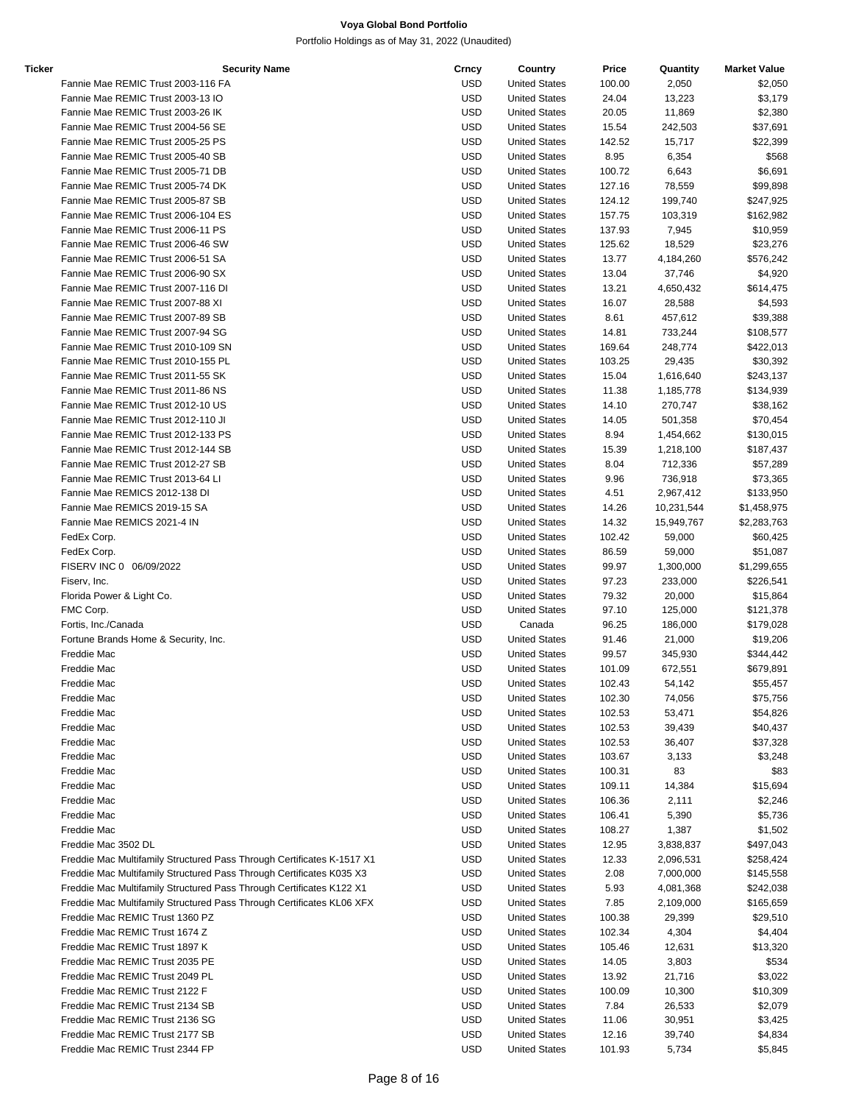| Ticker | <b>Security Name</b>                                                   | Crncy      | Country              | Price  | Quantity   | <b>Market Value</b> |
|--------|------------------------------------------------------------------------|------------|----------------------|--------|------------|---------------------|
|        | Fannie Mae REMIC Trust 2003-116 FA                                     | <b>USD</b> | <b>United States</b> | 100.00 | 2,050      | \$2,050             |
|        | Fannie Mae REMIC Trust 2003-13 IO                                      | <b>USD</b> | <b>United States</b> | 24.04  | 13,223     | \$3,179             |
|        | Fannie Mae REMIC Trust 2003-26 IK                                      | USD        | <b>United States</b> | 20.05  | 11,869     | \$2,380             |
|        | Fannie Mae REMIC Trust 2004-56 SE                                      | <b>USD</b> | <b>United States</b> | 15.54  | 242,503    | \$37,691            |
|        | Fannie Mae REMIC Trust 2005-25 PS                                      | <b>USD</b> | <b>United States</b> | 142.52 | 15,717     | \$22,399            |
|        | Fannie Mae REMIC Trust 2005-40 SB                                      | USD        | <b>United States</b> | 8.95   | 6,354      | \$568               |
|        | Fannie Mae REMIC Trust 2005-71 DB                                      | <b>USD</b> | <b>United States</b> | 100.72 | 6,643      | \$6,691             |
|        | Fannie Mae REMIC Trust 2005-74 DK                                      | <b>USD</b> | <b>United States</b> | 127.16 | 78,559     | \$99,898            |
|        | Fannie Mae REMIC Trust 2005-87 SB                                      | <b>USD</b> | <b>United States</b> | 124.12 | 199,740    | \$247,925           |
|        | Fannie Mae REMIC Trust 2006-104 ES                                     | USD        |                      | 157.75 |            |                     |
|        |                                                                        |            | <b>United States</b> |        | 103,319    | \$162,982           |
|        | Fannie Mae REMIC Trust 2006-11 PS                                      | USD        | <b>United States</b> | 137.93 | 7,945      | \$10,959            |
|        | Fannie Mae REMIC Trust 2006-46 SW                                      | USD        | <b>United States</b> | 125.62 | 18,529     | \$23,276            |
|        | Fannie Mae REMIC Trust 2006-51 SA                                      | <b>USD</b> | <b>United States</b> | 13.77  | 4,184,260  | \$576,242           |
|        | Fannie Mae REMIC Trust 2006-90 SX                                      | USD        | <b>United States</b> | 13.04  | 37,746     | \$4,920             |
|        | Fannie Mae REMIC Trust 2007-116 DI                                     | <b>USD</b> | <b>United States</b> | 13.21  | 4,650,432  | \$614,475           |
|        | Fannie Mae REMIC Trust 2007-88 XI                                      | <b>USD</b> | <b>United States</b> | 16.07  | 28,588     | \$4,593             |
|        | Fannie Mae REMIC Trust 2007-89 SB                                      | <b>USD</b> | <b>United States</b> | 8.61   | 457,612    | \$39,388            |
|        | Fannie Mae REMIC Trust 2007-94 SG                                      | USD        | <b>United States</b> | 14.81  | 733,244    | \$108,577           |
|        | Fannie Mae REMIC Trust 2010-109 SN                                     | USD        | <b>United States</b> | 169.64 | 248,774    | \$422,013           |
|        | Fannie Mae REMIC Trust 2010-155 PL                                     | USD        | <b>United States</b> | 103.25 | 29,435     | \$30,392            |
|        | Fannie Mae REMIC Trust 2011-55 SK                                      | <b>USD</b> | <b>United States</b> | 15.04  | 1,616,640  | \$243,137           |
|        | Fannie Mae REMIC Trust 2011-86 NS                                      | USD        | <b>United States</b> | 11.38  | 1,185,778  | \$134,939           |
|        | Fannie Mae REMIC Trust 2012-10 US                                      | <b>USD</b> | <b>United States</b> | 14.10  | 270,747    | \$38,162            |
|        | Fannie Mae REMIC Trust 2012-110 JI                                     | <b>USD</b> | <b>United States</b> | 14.05  | 501,358    |                     |
|        |                                                                        |            |                      |        |            | \$70,454            |
|        | Fannie Mae REMIC Trust 2012-133 PS                                     | <b>USD</b> | <b>United States</b> | 8.94   | 1,454,662  | \$130,015           |
|        | Fannie Mae REMIC Trust 2012-144 SB                                     | USD        | <b>United States</b> | 15.39  | 1,218,100  | \$187,437           |
|        | Fannie Mae REMIC Trust 2012-27 SB                                      | USD        | <b>United States</b> | 8.04   | 712,336    | \$57,289            |
|        | Fannie Mae REMIC Trust 2013-64 LI                                      | USD        | <b>United States</b> | 9.96   | 736,918    | \$73,365            |
|        | Fannie Mae REMICS 2012-138 DI                                          | <b>USD</b> | <b>United States</b> | 4.51   | 2,967,412  | \$133,950           |
|        | Fannie Mae REMICS 2019-15 SA                                           | USD        | <b>United States</b> | 14.26  | 10,231,544 | \$1,458,975         |
|        | Fannie Mae REMICS 2021-4 IN                                            | <b>USD</b> | <b>United States</b> | 14.32  | 15,949,767 | \$2,283,763         |
|        | FedEx Corp.                                                            | <b>USD</b> | <b>United States</b> | 102.42 | 59,000     | \$60,425            |
|        | FedEx Corp.                                                            | <b>USD</b> | <b>United States</b> | 86.59  | 59,000     | \$51,087            |
|        | FISERV INC 0 06/09/2022                                                | USD        | <b>United States</b> | 99.97  | 1,300,000  | \$1,299,655         |
|        | Fiserv, Inc.                                                           | USD        | <b>United States</b> | 97.23  | 233,000    | \$226,541           |
|        | Florida Power & Light Co.                                              | USD        | <b>United States</b> | 79.32  | 20,000     | \$15,864            |
|        | FMC Corp.                                                              | <b>USD</b> | <b>United States</b> | 97.10  | 125,000    | \$121,378           |
|        | Fortis, Inc./Canada                                                    | USD        | Canada               | 96.25  | 186,000    | \$179,028           |
|        | Fortune Brands Home & Security, Inc.                                   |            |                      |        |            | \$19,206            |
|        |                                                                        | USD        | <b>United States</b> | 91.46  | 21,000     |                     |
|        | Freddie Mac                                                            | USD        | <b>United States</b> | 99.57  | 345,930    | \$344,442           |
|        | Freddie Mac                                                            | <b>USD</b> | <b>United States</b> | 101.09 | 672,551    | \$679,891           |
|        | Freddie Mac                                                            | <b>USD</b> | <b>United States</b> | 102.43 | 54,142     | \$55,457            |
|        | Freddie Mac                                                            | USD        | <b>United States</b> | 102.30 | 74,056     | \$75,756            |
|        | Freddie Mac                                                            | <b>USD</b> | <b>United States</b> | 102.53 | 53,471     | \$54,826            |
|        | Freddie Mac                                                            | <b>USD</b> | <b>United States</b> | 102.53 | 39,439     | \$40,437            |
|        | Freddie Mac                                                            | <b>USD</b> | <b>United States</b> | 102.53 | 36,407     | \$37,328            |
|        | Freddie Mac                                                            | <b>USD</b> | <b>United States</b> | 103.67 | 3,133      | \$3,248             |
|        | Freddie Mac                                                            | USD        | <b>United States</b> | 100.31 | 83         | \$83                |
|        | Freddie Mac                                                            | <b>USD</b> | <b>United States</b> | 109.11 | 14,384     | \$15,694            |
|        | Freddie Mac                                                            | <b>USD</b> | <b>United States</b> | 106.36 | 2,111      | \$2,246             |
|        | Freddie Mac                                                            | <b>USD</b> | <b>United States</b> | 106.41 | 5,390      | \$5,736             |
|        |                                                                        |            |                      |        |            |                     |
|        | Freddie Mac                                                            | <b>USD</b> | <b>United States</b> | 108.27 | 1,387      | \$1,502             |
|        | Freddie Mac 3502 DL                                                    | <b>USD</b> | <b>United States</b> | 12.95  | 3,838,837  | \$497,043           |
|        | Freddie Mac Multifamily Structured Pass Through Certificates K-1517 X1 | <b>USD</b> | <b>United States</b> | 12.33  | 2,096,531  | \$258,424           |
|        | Freddie Mac Multifamily Structured Pass Through Certificates K035 X3   | USD        | <b>United States</b> | 2.08   | 7,000,000  | \$145,558           |
|        | Freddie Mac Multifamily Structured Pass Through Certificates K122 X1   | USD        | <b>United States</b> | 5.93   | 4,081,368  | \$242,038           |
|        | Freddie Mac Multifamily Structured Pass Through Certificates KL06 XFX  | <b>USD</b> | <b>United States</b> | 7.85   | 2,109,000  | \$165,659           |
|        | Freddie Mac REMIC Trust 1360 PZ                                        | <b>USD</b> | <b>United States</b> | 100.38 | 29,399     | \$29,510            |
|        | Freddie Mac REMIC Trust 1674 Z                                         | <b>USD</b> | <b>United States</b> | 102.34 | 4,304      | \$4,404             |
|        | Freddie Mac REMIC Trust 1897 K                                         | <b>USD</b> | <b>United States</b> | 105.46 | 12,631     | \$13,320            |
|        | Freddie Mac REMIC Trust 2035 PE                                        | <b>USD</b> | <b>United States</b> | 14.05  | 3,803      | \$534               |
|        | Freddie Mac REMIC Trust 2049 PL                                        | <b>USD</b> | <b>United States</b> | 13.92  | 21,716     | \$3,022             |
|        | Freddie Mac REMIC Trust 2122 F                                         | USD        | <b>United States</b> | 100.09 | 10,300     | \$10,309            |
|        | Freddie Mac REMIC Trust 2134 SB                                        | USD        | <b>United States</b> | 7.84   | 26,533     | \$2,079             |
|        |                                                                        | <b>USD</b> |                      |        |            |                     |
|        | Freddie Mac REMIC Trust 2136 SG                                        |            | <b>United States</b> | 11.06  | 30,951     | \$3,425             |
|        | Freddie Mac REMIC Trust 2177 SB                                        | USD        | <b>United States</b> | 12.16  | 39,740     | \$4,834             |
|        | Freddie Mac REMIC Trust 2344 FP                                        | <b>USD</b> | <b>United States</b> | 101.93 | 5,734      | \$5,845             |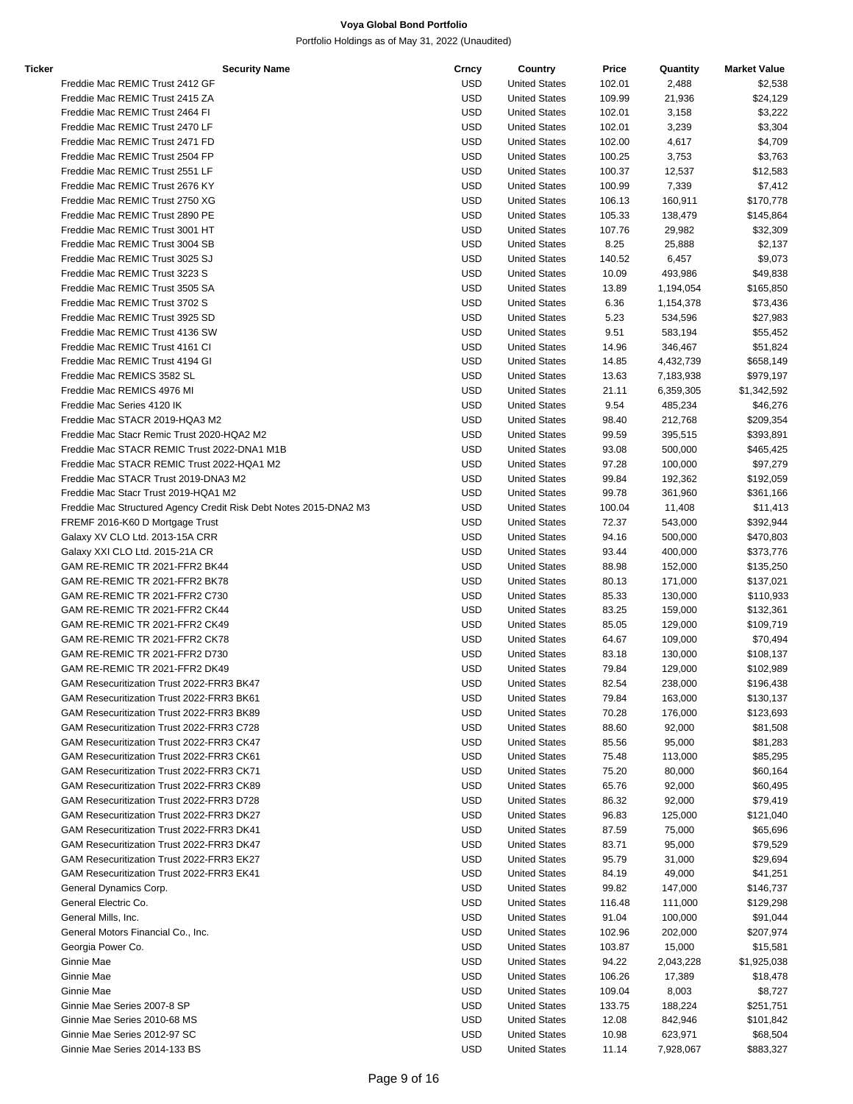| Ticker | <b>Security Name</b>                                              | Crncy      | Country              | Price  | Quantity  | <b>Market Value</b> |
|--------|-------------------------------------------------------------------|------------|----------------------|--------|-----------|---------------------|
|        | Freddie Mac REMIC Trust 2412 GF                                   | <b>USD</b> | <b>United States</b> | 102.01 | 2,488     | \$2,538             |
|        | Freddie Mac REMIC Trust 2415 ZA                                   | <b>USD</b> | <b>United States</b> | 109.99 | 21,936    | \$24,129            |
|        | Freddie Mac REMIC Trust 2464 FI                                   | <b>USD</b> | <b>United States</b> | 102.01 | 3,158     | \$3,222             |
|        | Freddie Mac REMIC Trust 2470 LF                                   | <b>USD</b> | <b>United States</b> | 102.01 | 3,239     | \$3,304             |
|        | Freddie Mac REMIC Trust 2471 FD                                   | <b>USD</b> | <b>United States</b> | 102.00 | 4,617     | \$4,709             |
|        | Freddie Mac REMIC Trust 2504 FP                                   | <b>USD</b> | <b>United States</b> | 100.25 | 3,753     | \$3,763             |
|        | Freddie Mac REMIC Trust 2551 LF                                   | <b>USD</b> | <b>United States</b> | 100.37 | 12,537    | \$12,583            |
|        | Freddie Mac REMIC Trust 2676 KY                                   | <b>USD</b> | <b>United States</b> | 100.99 | 7,339     | \$7,412             |
|        | Freddie Mac REMIC Trust 2750 XG                                   | <b>USD</b> | <b>United States</b> | 106.13 | 160,911   |                     |
|        | Freddie Mac REMIC Trust 2890 PE                                   |            |                      |        |           | \$170,778           |
|        |                                                                   | <b>USD</b> | <b>United States</b> | 105.33 | 138,479   | \$145,864           |
|        | Freddie Mac REMIC Trust 3001 HT                                   | <b>USD</b> | <b>United States</b> | 107.76 | 29,982    | \$32,309            |
|        | Freddie Mac REMIC Trust 3004 SB                                   | <b>USD</b> | <b>United States</b> | 8.25   | 25,888    | \$2,137             |
|        | Freddie Mac REMIC Trust 3025 SJ                                   | <b>USD</b> | <b>United States</b> | 140.52 | 6,457     | \$9,073             |
|        | Freddie Mac REMIC Trust 3223 S                                    | <b>USD</b> | <b>United States</b> | 10.09  | 493,986   | \$49,838            |
|        | Freddie Mac REMIC Trust 3505 SA                                   | <b>USD</b> | <b>United States</b> | 13.89  | 1,194,054 | \$165,850           |
|        | Freddie Mac REMIC Trust 3702 S                                    | <b>USD</b> | <b>United States</b> | 6.36   | 1,154,378 | \$73,436            |
|        | Freddie Mac REMIC Trust 3925 SD                                   | <b>USD</b> | <b>United States</b> | 5.23   | 534,596   | \$27,983            |
|        | Freddie Mac REMIC Trust 4136 SW                                   | <b>USD</b> | <b>United States</b> | 9.51   | 583,194   | \$55,452            |
|        | Freddie Mac REMIC Trust 4161 CI                                   | <b>USD</b> | <b>United States</b> | 14.96  | 346,467   | \$51,824            |
|        | Freddie Mac REMIC Trust 4194 GI                                   | <b>USD</b> | <b>United States</b> | 14.85  | 4,432,739 | \$658,149           |
|        | Freddie Mac REMICS 3582 SL                                        | <b>USD</b> | <b>United States</b> | 13.63  | 7,183,938 | \$979,197           |
|        | Freddie Mac REMICS 4976 MI                                        | <b>USD</b> | <b>United States</b> | 21.11  | 6,359,305 | \$1,342,592         |
|        | Freddie Mac Series 4120 IK                                        | <b>USD</b> | <b>United States</b> | 9.54   | 485,234   | \$46,276            |
|        | Freddie Mac STACR 2019-HQA3 M2                                    | <b>USD</b> | <b>United States</b> | 98.40  | 212,768   |                     |
|        |                                                                   |            |                      |        |           | \$209,354           |
|        | Freddie Mac Stacr Remic Trust 2020-HQA2 M2                        | <b>USD</b> | <b>United States</b> | 99.59  | 395,515   | \$393,891           |
|        | Freddie Mac STACR REMIC Trust 2022-DNA1 M1B                       | <b>USD</b> | <b>United States</b> | 93.08  | 500,000   | \$465,425           |
|        | Freddie Mac STACR REMIC Trust 2022-HQA1 M2                        | <b>USD</b> | <b>United States</b> | 97.28  | 100,000   | \$97,279            |
|        | Freddie Mac STACR Trust 2019-DNA3 M2                              | <b>USD</b> | <b>United States</b> | 99.84  | 192,362   | \$192,059           |
|        | Freddie Mac Stacr Trust 2019-HQA1 M2                              | <b>USD</b> | <b>United States</b> | 99.78  | 361,960   | \$361,166           |
|        | Freddie Mac Structured Agency Credit Risk Debt Notes 2015-DNA2 M3 | <b>USD</b> | <b>United States</b> | 100.04 | 11,408    | \$11,413            |
|        | FREMF 2016-K60 D Mortgage Trust                                   | <b>USD</b> | <b>United States</b> | 72.37  | 543,000   | \$392,944           |
|        | Galaxy XV CLO Ltd. 2013-15A CRR                                   | <b>USD</b> | <b>United States</b> | 94.16  | 500,000   | \$470,803           |
|        | Galaxy XXI CLO Ltd. 2015-21A CR                                   | <b>USD</b> | <b>United States</b> | 93.44  | 400,000   | \$373,776           |
|        | GAM RE-REMIC TR 2021-FFR2 BK44                                    | <b>USD</b> | <b>United States</b> | 88.98  | 152,000   | \$135,250           |
|        | GAM RE-REMIC TR 2021-FFR2 BK78                                    | <b>USD</b> | <b>United States</b> | 80.13  | 171,000   | \$137,021           |
|        | GAM RE-REMIC TR 2021-FFR2 C730                                    | <b>USD</b> | <b>United States</b> | 85.33  | 130,000   | \$110,933           |
|        | GAM RE-REMIC TR 2021-FFR2 CK44                                    | <b>USD</b> | <b>United States</b> | 83.25  | 159,000   | \$132,361           |
|        | GAM RE-REMIC TR 2021-FFR2 CK49                                    | <b>USD</b> | <b>United States</b> | 85.05  | 129,000   | \$109,719           |
|        | GAM RE-REMIC TR 2021-FFR2 CK78                                    | <b>USD</b> | <b>United States</b> | 64.67  | 109,000   | \$70,494            |
|        | GAM RE-REMIC TR 2021-FFR2 D730                                    | <b>USD</b> | <b>United States</b> | 83.18  | 130,000   | \$108,137           |
|        | GAM RE-REMIC TR 2021-FFR2 DK49                                    | <b>USD</b> | <b>United States</b> | 79.84  | 129,000   | \$102,989           |
|        |                                                                   | <b>USD</b> | <b>United States</b> | 82.54  | 238,000   | \$196,438           |
|        | GAM Resecuritization Trust 2022-FRR3 BK47                         |            |                      |        |           |                     |
|        | GAM Resecuritization Trust 2022-FRR3 BK61                         | <b>USD</b> | <b>United States</b> | 79.84  | 163,000   | \$130,137           |
|        | GAM Resecuritization Trust 2022-FRR3 BK89                         | <b>USD</b> | <b>United States</b> | 70.28  | 176,000   | \$123,693           |
|        | GAM Resecuritization Trust 2022-FRR3 C728                         | <b>USD</b> | <b>United States</b> | 88.60  | 92,000    | \$81,508            |
|        | GAM Resecuritization Trust 2022-FRR3 CK47                         | <b>USD</b> | <b>United States</b> | 85.56  | 95,000    | \$81,283            |
|        | GAM Resecuritization Trust 2022-FRR3 CK61                         | USD        | <b>United States</b> | 75.48  | 113,000   | \$85,295            |
|        | GAM Resecuritization Trust 2022-FRR3 CK71                         | <b>USD</b> | <b>United States</b> | 75.20  | 80,000    | \$60,164            |
|        | GAM Resecuritization Trust 2022-FRR3 CK89                         | <b>USD</b> | <b>United States</b> | 65.76  | 92,000    | \$60,495            |
|        | GAM Resecuritization Trust 2022-FRR3 D728                         | <b>USD</b> | <b>United States</b> | 86.32  | 92,000    | \$79,419            |
|        | GAM Resecuritization Trust 2022-FRR3 DK27                         | <b>USD</b> | <b>United States</b> | 96.83  | 125,000   | \$121,040           |
|        | GAM Resecuritization Trust 2022-FRR3 DK41                         | <b>USD</b> | <b>United States</b> | 87.59  | 75,000    | \$65,696            |
|        | GAM Resecuritization Trust 2022-FRR3 DK47                         | <b>USD</b> | <b>United States</b> | 83.71  | 95,000    | \$79,529            |
|        | GAM Resecuritization Trust 2022-FRR3 EK27                         | <b>USD</b> | <b>United States</b> | 95.79  | 31,000    | \$29,694            |
|        | GAM Resecuritization Trust 2022-FRR3 EK41                         | USD        | <b>United States</b> | 84.19  | 49,000    | \$41,251            |
|        | General Dynamics Corp.                                            | <b>USD</b> | <b>United States</b> | 99.82  | 147,000   | \$146,737           |
|        | General Electric Co.                                              | <b>USD</b> | <b>United States</b> | 116.48 | 111,000   | \$129,298           |
|        | General Mills, Inc.                                               | <b>USD</b> | <b>United States</b> | 91.04  | 100,000   | \$91,044            |
|        |                                                                   |            |                      |        |           |                     |
|        | General Motors Financial Co., Inc.                                | <b>USD</b> | <b>United States</b> | 102.96 | 202,000   | \$207,974           |
|        | Georgia Power Co.                                                 | <b>USD</b> | <b>United States</b> | 103.87 | 15,000    | \$15,581            |
|        | Ginnie Mae                                                        | <b>USD</b> | <b>United States</b> | 94.22  | 2,043,228 | \$1,925,038         |
|        | Ginnie Mae                                                        | <b>USD</b> | <b>United States</b> | 106.26 | 17,389    | \$18,478            |
|        | Ginnie Mae                                                        | USD        | <b>United States</b> | 109.04 | 8,003     | \$8,727             |
|        | Ginnie Mae Series 2007-8 SP                                       | <b>USD</b> | <b>United States</b> | 133.75 | 188,224   | \$251,751           |
|        | Ginnie Mae Series 2010-68 MS                                      | <b>USD</b> | <b>United States</b> | 12.08  | 842,946   | \$101,842           |
|        | Ginnie Mae Series 2012-97 SC                                      | <b>USD</b> | <b>United States</b> | 10.98  | 623,971   | \$68,504            |
|        | Ginnie Mae Series 2014-133 BS                                     | <b>USD</b> | <b>United States</b> | 11.14  | 7,928,067 | \$883,327           |
|        |                                                                   |            |                      |        |           |                     |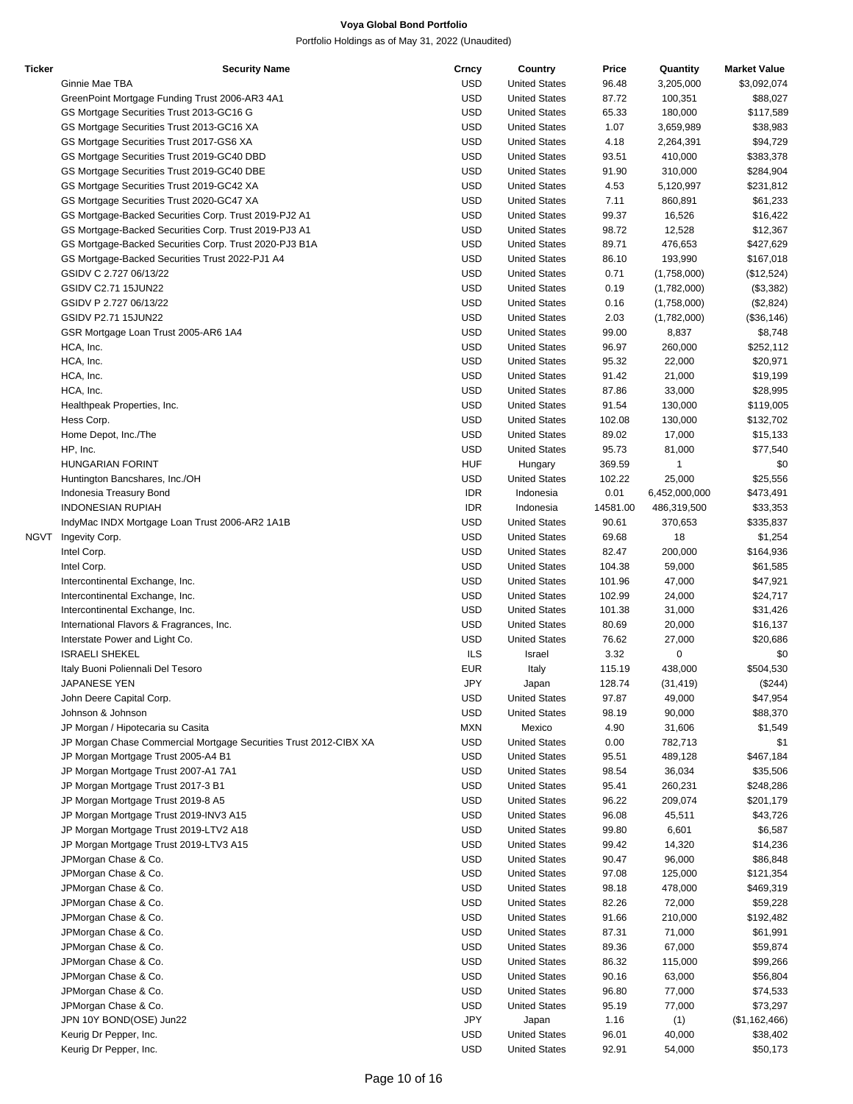| Ticker | <b>Security Name</b>                                              | Crncy                    | Country                                      | Price          | Quantity         | <b>Market Value</b>  |
|--------|-------------------------------------------------------------------|--------------------------|----------------------------------------------|----------------|------------------|----------------------|
|        | Ginnie Mae TBA                                                    | <b>USD</b>               | <b>United States</b>                         | 96.48          | 3,205,000        | \$3,092,074          |
|        | GreenPoint Mortgage Funding Trust 2006-AR3 4A1                    | <b>USD</b>               | <b>United States</b>                         | 87.72          | 100,351          | \$88,027             |
|        | GS Mortgage Securities Trust 2013-GC16 G                          | <b>USD</b>               | <b>United States</b>                         | 65.33          | 180,000          | \$117,589            |
|        | GS Mortgage Securities Trust 2013-GC16 XA                         | <b>USD</b>               | <b>United States</b>                         | 1.07           | 3,659,989        | \$38,983             |
|        | GS Mortgage Securities Trust 2017-GS6 XA                          | <b>USD</b>               | <b>United States</b>                         | 4.18           | 2,264,391        | \$94,729             |
|        | GS Mortgage Securities Trust 2019-GC40 DBD                        | <b>USD</b>               | <b>United States</b>                         | 93.51          | 410,000          | \$383,378            |
|        | GS Mortgage Securities Trust 2019-GC40 DBE                        | <b>USD</b>               | <b>United States</b>                         | 91.90          | 310,000          | \$284,904            |
|        | GS Mortgage Securities Trust 2019-GC42 XA                         | <b>USD</b>               | <b>United States</b>                         | 4.53           | 5,120,997        | \$231,812            |
|        | GS Mortgage Securities Trust 2020-GC47 XA                         | <b>USD</b>               | <b>United States</b>                         | 7.11           | 860,891          | \$61,233             |
|        | GS Mortgage-Backed Securities Corp. Trust 2019-PJ2 A1             | <b>USD</b>               | <b>United States</b>                         | 99.37          | 16,526           | \$16,422             |
|        | GS Mortgage-Backed Securities Corp. Trust 2019-PJ3 A1             | <b>USD</b>               | <b>United States</b>                         | 98.72          | 12,528           | \$12,367             |
|        | GS Mortgage-Backed Securities Corp. Trust 2020-PJ3 B1A            | <b>USD</b>               | <b>United States</b>                         | 89.71          | 476,653          | \$427,629            |
|        | GS Mortgage-Backed Securities Trust 2022-PJ1 A4                   | <b>USD</b>               | <b>United States</b>                         | 86.10          | 193,990          | \$167,018            |
|        | GSIDV C 2.727 06/13/22                                            | <b>USD</b>               | <b>United States</b>                         | 0.71           | (1,758,000)      | (\$12,524)           |
|        | GSIDV C2.71 15JUN22                                               | <b>USD</b>               | <b>United States</b>                         | 0.19           | (1,782,000)      | (\$3,382)            |
|        | GSIDV P 2.727 06/13/22                                            | <b>USD</b>               | <b>United States</b>                         | 0.16           | (1,758,000)      | (\$2,824)            |
|        | GSIDV P2.71 15JUN22                                               | <b>USD</b>               | <b>United States</b>                         | 2.03           | (1,782,000)      | (\$36,146)           |
|        | GSR Mortgage Loan Trust 2005-AR6 1A4<br>HCA, Inc.                 | <b>USD</b>               | <b>United States</b>                         | 99.00          | 8,837            | \$8,748              |
|        | HCA, Inc.                                                         | <b>USD</b><br><b>USD</b> | <b>United States</b>                         | 96.97          | 260,000          | \$252,112            |
|        | HCA, Inc.                                                         | <b>USD</b>               | <b>United States</b><br><b>United States</b> | 95.32<br>91.42 | 22,000<br>21,000 | \$20,971<br>\$19,199 |
|        | HCA, Inc.                                                         | <b>USD</b>               | <b>United States</b>                         | 87.86          | 33,000           | \$28,995             |
|        | Healthpeak Properties, Inc.                                       | <b>USD</b>               | <b>United States</b>                         | 91.54          | 130,000          | \$119,005            |
|        | Hess Corp.                                                        | <b>USD</b>               | <b>United States</b>                         | 102.08         | 130,000          | \$132,702            |
|        | Home Depot, Inc./The                                              | <b>USD</b>               | <b>United States</b>                         | 89.02          | 17,000           | \$15,133             |
|        | HP, Inc.                                                          | <b>USD</b>               | <b>United States</b>                         | 95.73          | 81,000           | \$77,540             |
|        | <b>HUNGARIAN FORINT</b>                                           | <b>HUF</b>               | Hungary                                      | 369.59         | 1                | \$0                  |
|        | Huntington Bancshares, Inc./OH                                    | <b>USD</b>               | <b>United States</b>                         | 102.22         | 25,000           | \$25,556             |
|        | Indonesia Treasury Bond                                           | <b>IDR</b>               | Indonesia                                    | 0.01           | 6,452,000,000    | \$473,491            |
|        | <b>INDONESIAN RUPIAH</b>                                          | <b>IDR</b>               | Indonesia                                    | 14581.00       | 486,319,500      | \$33,353             |
|        | IndyMac INDX Mortgage Loan Trust 2006-AR2 1A1B                    | <b>USD</b>               | <b>United States</b>                         | 90.61          | 370,653          | \$335,837            |
| NGVT   | Ingevity Corp.                                                    | <b>USD</b>               | <b>United States</b>                         | 69.68          | 18               | \$1,254              |
|        | Intel Corp.                                                       | <b>USD</b>               | <b>United States</b>                         | 82.47          | 200,000          | \$164,936            |
|        | Intel Corp.                                                       | <b>USD</b>               | <b>United States</b>                         | 104.38         | 59,000           | \$61,585             |
|        | Intercontinental Exchange, Inc.                                   | <b>USD</b>               | <b>United States</b>                         | 101.96         | 47,000           | \$47,921             |
|        | Intercontinental Exchange, Inc.                                   | <b>USD</b>               | <b>United States</b>                         | 102.99         | 24,000           | \$24,717             |
|        | Intercontinental Exchange, Inc.                                   | <b>USD</b>               | <b>United States</b>                         | 101.38         | 31,000           | \$31,426             |
|        | International Flavors & Fragrances, Inc.                          | <b>USD</b>               | <b>United States</b>                         | 80.69          | 20,000           | \$16,137             |
|        | Interstate Power and Light Co.                                    | <b>USD</b>               | <b>United States</b>                         | 76.62          | 27,000           | \$20,686             |
|        | <b>ISRAELI SHEKEL</b>                                             | <b>ILS</b>               | Israel                                       | 3.32           | 0                | \$0                  |
|        | Italy Buoni Poliennali Del Tesoro                                 | <b>EUR</b>               | Italy                                        | 115.19         | 438,000          | \$504,530            |
|        | JAPANESE YEN                                                      | JPY                      | Japan                                        | 128.74         | (31, 419)        | (\$244)              |
|        | John Deere Capital Corp.                                          | <b>USD</b>               | <b>United States</b>                         | 97.87          | 49,000           | \$47,954             |
|        | Johnson & Johnson                                                 | <b>USD</b>               | <b>United States</b>                         | 98.19          | 90,000           | \$88,370             |
|        | JP Morgan / Hipotecaria su Casita                                 | MXN                      | Mexico                                       | 4.90           | 31,606           | \$1,549              |
|        | JP Morgan Chase Commercial Mortgage Securities Trust 2012-CIBX XA | <b>USD</b>               | <b>United States</b>                         | 0.00           | 782,713          | \$1                  |
|        | JP Morgan Mortgage Trust 2005-A4 B1                               | <b>USD</b>               | <b>United States</b>                         | 95.51          | 489,128          | \$467,184            |
|        | JP Morgan Mortgage Trust 2007-A1 7A1                              | <b>USD</b>               | <b>United States</b>                         | 98.54          | 36,034           | \$35,506             |
|        | JP Morgan Mortgage Trust 2017-3 B1                                | <b>USD</b>               | <b>United States</b>                         | 95.41          | 260,231          | \$248,286            |
|        | JP Morgan Mortgage Trust 2019-8 A5                                | <b>USD</b>               | <b>United States</b>                         | 96.22          | 209,074          | \$201,179            |
|        | JP Morgan Mortgage Trust 2019-INV3 A15                            | <b>USD</b>               | <b>United States</b>                         | 96.08          | 45,511           | \$43,726             |
|        | JP Morgan Mortgage Trust 2019-LTV2 A18                            | <b>USD</b>               | <b>United States</b>                         | 99.80          | 6,601            | \$6,587              |
|        | JP Morgan Mortgage Trust 2019-LTV3 A15                            | <b>USD</b>               | <b>United States</b>                         | 99.42          | 14,320           | \$14,236             |
|        | JPMorgan Chase & Co.                                              | <b>USD</b>               | <b>United States</b>                         | 90.47          | 96,000           | \$86,848             |
|        | JPMorgan Chase & Co.                                              | <b>USD</b>               | <b>United States</b>                         | 97.08          | 125,000          | \$121,354            |
|        | JPMorgan Chase & Co.                                              | <b>USD</b>               | <b>United States</b>                         | 98.18          | 478,000          | \$469,319            |
|        | JPMorgan Chase & Co.                                              | <b>USD</b>               | <b>United States</b>                         | 82.26          | 72,000           | \$59,228             |
|        | JPMorgan Chase & Co.                                              | <b>USD</b>               | <b>United States</b>                         | 91.66          | 210,000          | \$192,482            |
|        | JPMorgan Chase & Co.                                              | <b>USD</b>               | <b>United States</b>                         | 87.31          | 71,000           | \$61,991             |
|        | JPMorgan Chase & Co.                                              | <b>USD</b>               | <b>United States</b>                         | 89.36          | 67,000           | \$59,874             |
|        | JPMorgan Chase & Co.                                              | <b>USD</b>               | <b>United States</b>                         | 86.32          | 115,000          | \$99,266             |
|        | JPMorgan Chase & Co.                                              | <b>USD</b>               | <b>United States</b>                         | 90.16          | 63,000           | \$56,804             |
|        | JPMorgan Chase & Co.                                              | <b>USD</b>               | <b>United States</b>                         | 96.80          | 77,000           | \$74,533             |
|        | JPMorgan Chase & Co.                                              | <b>USD</b>               | <b>United States</b>                         | 95.19          | 77,000           | \$73,297             |
|        | JPN 10Y BOND(OSE) Jun22                                           | <b>JPY</b>               | Japan                                        | 1.16           | (1)              | (\$1,162,466)        |
|        | Keurig Dr Pepper, Inc.                                            | <b>USD</b>               | <b>United States</b>                         | 96.01          | 40,000           | \$38,402             |
|        | Keurig Dr Pepper, Inc.                                            | <b>USD</b>               | <b>United States</b>                         | 92.91          | 54,000           | \$50,173             |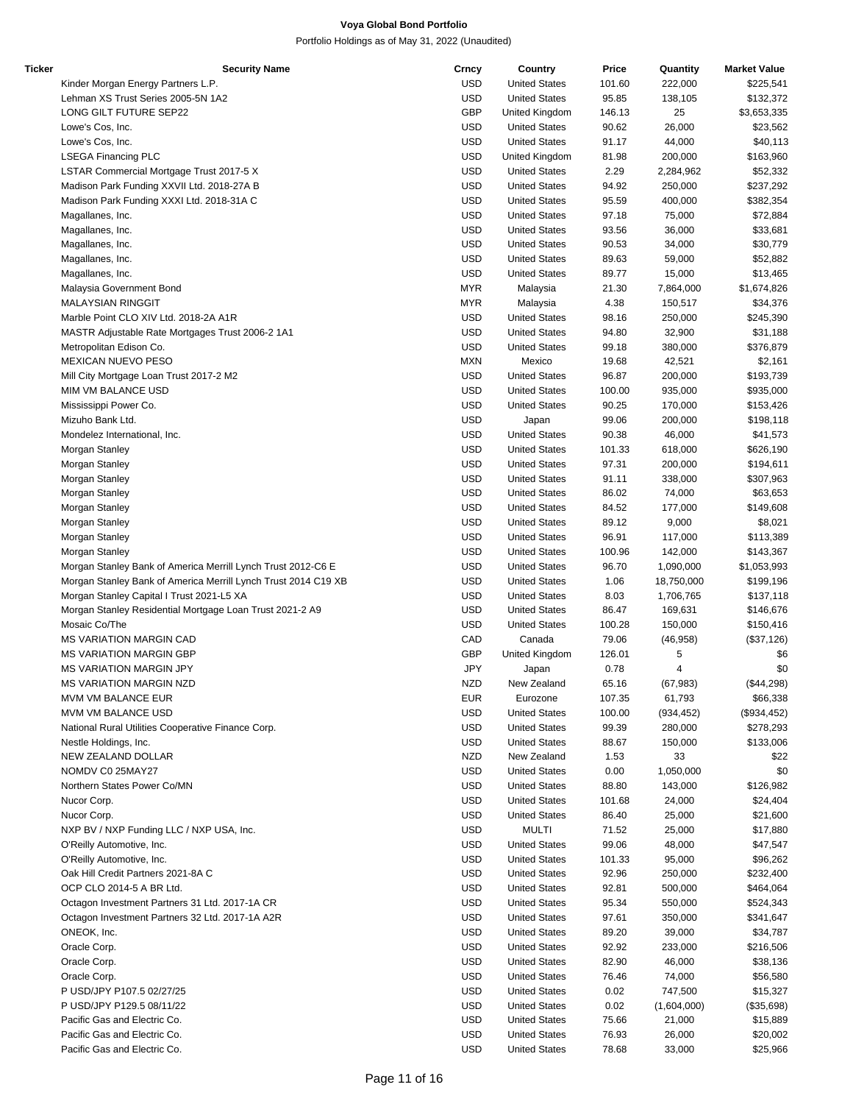| Ticker | <b>Security Name</b>                                           | Crncy      | Country              | Price  | Quantity    | <b>Market Value</b> |
|--------|----------------------------------------------------------------|------------|----------------------|--------|-------------|---------------------|
|        | Kinder Morgan Energy Partners L.P.                             | <b>USD</b> | <b>United States</b> | 101.60 | 222,000     | \$225,541           |
|        | Lehman XS Trust Series 2005-5N 1A2                             | <b>USD</b> | <b>United States</b> | 95.85  | 138,105     | \$132,372           |
|        | LONG GILT FUTURE SEP22                                         | GBP        | United Kingdom       | 146.13 | 25          | \$3,653,335         |
|        | Lowe's Cos, Inc.                                               | <b>USD</b> | <b>United States</b> | 90.62  | 26,000      | \$23,562            |
|        | Lowe's Cos, Inc.                                               | <b>USD</b> | <b>United States</b> | 91.17  | 44,000      | \$40,113            |
|        | <b>LSEGA Financing PLC</b>                                     | <b>USD</b> | United Kingdom       | 81.98  | 200,000     | \$163,960           |
|        | LSTAR Commercial Mortgage Trust 2017-5 X                       | <b>USD</b> | <b>United States</b> | 2.29   | 2,284,962   | \$52,332            |
|        | Madison Park Funding XXVII Ltd. 2018-27A B                     | <b>USD</b> | <b>United States</b> | 94.92  | 250,000     | \$237,292           |
|        | Madison Park Funding XXXI Ltd. 2018-31A C                      | <b>USD</b> | <b>United States</b> | 95.59  | 400,000     | \$382,354           |
|        | Magallanes, Inc.                                               | <b>USD</b> | <b>United States</b> | 97.18  | 75,000      | \$72,884            |
|        | Magallanes, Inc.                                               | <b>USD</b> | <b>United States</b> | 93.56  | 36,000      | \$33,681            |
|        | Magallanes, Inc.                                               | <b>USD</b> | <b>United States</b> | 90.53  | 34,000      | \$30,779            |
|        | Magallanes, Inc.                                               | <b>USD</b> | <b>United States</b> | 89.63  | 59,000      | \$52,882            |
|        | Magallanes, Inc.                                               | <b>USD</b> | <b>United States</b> | 89.77  | 15,000      | \$13,465            |
|        | Malaysia Government Bond                                       | <b>MYR</b> | Malaysia             | 21.30  | 7,864,000   | \$1,674,826         |
|        | <b>MALAYSIAN RINGGIT</b>                                       | <b>MYR</b> | Malaysia             | 4.38   | 150,517     | \$34,376            |
|        | Marble Point CLO XIV Ltd. 2018-2A A1R                          | <b>USD</b> | <b>United States</b> | 98.16  | 250,000     | \$245,390           |
|        | MASTR Adjustable Rate Mortgages Trust 2006-2 1A1               | <b>USD</b> | <b>United States</b> | 94.80  | 32,900      | \$31,188            |
|        | Metropolitan Edison Co.                                        | <b>USD</b> | <b>United States</b> | 99.18  | 380,000     | \$376,879           |
|        | <b>MEXICAN NUEVO PESO</b>                                      | <b>MXN</b> | Mexico               | 19.68  | 42,521      | \$2,161             |
|        | Mill City Mortgage Loan Trust 2017-2 M2                        | <b>USD</b> | <b>United States</b> | 96.87  | 200,000     | \$193,739           |
|        | MIM VM BALANCE USD                                             | <b>USD</b> | <b>United States</b> |        |             |                     |
|        |                                                                |            |                      | 100.00 | 935,000     | \$935,000           |
|        | Mississippi Power Co.                                          | <b>USD</b> | <b>United States</b> | 90.25  | 170,000     | \$153,426           |
|        | Mizuho Bank Ltd.                                               | <b>USD</b> | Japan                | 99.06  | 200,000     | \$198,118           |
|        | Mondelez International, Inc.                                   | <b>USD</b> | <b>United States</b> | 90.38  | 46,000      | \$41,573            |
|        | Morgan Stanley                                                 | <b>USD</b> | <b>United States</b> | 101.33 | 618,000     | \$626,190           |
|        | Morgan Stanley                                                 | <b>USD</b> | <b>United States</b> | 97.31  | 200,000     | \$194,611           |
|        | Morgan Stanley                                                 | <b>USD</b> | <b>United States</b> | 91.11  | 338,000     | \$307,963           |
|        | Morgan Stanley                                                 | <b>USD</b> | <b>United States</b> | 86.02  | 74,000      | \$63,653            |
|        | Morgan Stanley                                                 | <b>USD</b> | <b>United States</b> | 84.52  | 177,000     | \$149,608           |
|        | Morgan Stanley                                                 | <b>USD</b> | <b>United States</b> | 89.12  | 9,000       | \$8,021             |
|        | Morgan Stanley                                                 | <b>USD</b> | <b>United States</b> | 96.91  | 117,000     | \$113,389           |
|        | Morgan Stanley                                                 | <b>USD</b> | <b>United States</b> | 100.96 | 142,000     | \$143,367           |
|        | Morgan Stanley Bank of America Merrill Lynch Trust 2012-C6 E   | <b>USD</b> | <b>United States</b> | 96.70  | 1,090,000   | \$1,053,993         |
|        | Morgan Stanley Bank of America Merrill Lynch Trust 2014 C19 XB | <b>USD</b> | <b>United States</b> | 1.06   | 18,750,000  | \$199,196           |
|        | Morgan Stanley Capital I Trust 2021-L5 XA                      | <b>USD</b> | <b>United States</b> | 8.03   | 1,706,765   | \$137,118           |
|        | Morgan Stanley Residential Mortgage Loan Trust 2021-2 A9       | <b>USD</b> | <b>United States</b> | 86.47  | 169,631     | \$146,676           |
|        | Mosaic Co/The                                                  | <b>USD</b> | <b>United States</b> | 100.28 | 150,000     | \$150,416           |
|        | <b>MS VARIATION MARGIN CAD</b>                                 | CAD        | Canada               | 79.06  | (46, 958)   | (\$37,126)          |
|        | <b>MS VARIATION MARGIN GBP</b>                                 | <b>GBP</b> | United Kingdom       | 126.01 | 5           | \$6                 |
|        | <b>MS VARIATION MARGIN JPY</b>                                 | JPY        | Japan                | 0.78   | 4           | \$0                 |
|        | <b>MS VARIATION MARGIN NZD</b>                                 | <b>NZD</b> | New Zealand          | 65.16  | (67, 983)   | (\$44,298)          |
|        | MVM VM BALANCE EUR                                             | EUR        | Eurozone             | 107.35 | 61,793      | \$66,338            |
|        | MVM VM BALANCE USD                                             | <b>USD</b> | <b>United States</b> | 100.00 | (934, 452)  | (\$934,452)         |
|        | National Rural Utilities Cooperative Finance Corp.             | <b>USD</b> | <b>United States</b> | 99.39  | 280,000     | \$278,293           |
|        | Nestle Holdings, Inc.                                          | <b>USD</b> | <b>United States</b> | 88.67  | 150,000     | \$133,006           |
|        | NEW ZEALAND DOLLAR                                             | <b>NZD</b> | New Zealand          | 1.53   | 33          | \$22                |
|        | NOMDV C0 25MAY27                                               | <b>USD</b> | <b>United States</b> | 0.00   | 1,050,000   | \$0                 |
|        | Northern States Power Co/MN                                    | <b>USD</b> | <b>United States</b> | 88.80  | 143,000     | \$126,982           |
|        | Nucor Corp.                                                    | <b>USD</b> | <b>United States</b> | 101.68 | 24,000      | \$24,404            |
|        | Nucor Corp.                                                    | <b>USD</b> | <b>United States</b> | 86.40  | 25,000      | \$21,600            |
|        | NXP BV / NXP Funding LLC / NXP USA, Inc.                       | <b>USD</b> | <b>MULTI</b>         | 71.52  | 25,000      | \$17,880            |
|        | O'Reilly Automotive, Inc.                                      | <b>USD</b> | <b>United States</b> | 99.06  | 48,000      | \$47,547            |
|        | O'Reilly Automotive, Inc.                                      | <b>USD</b> | <b>United States</b> | 101.33 | 95,000      | \$96,262            |
|        | Oak Hill Credit Partners 2021-8A C                             | <b>USD</b> | <b>United States</b> | 92.96  | 250,000     | \$232,400           |
|        | OCP CLO 2014-5 A BR Ltd.                                       | <b>USD</b> | <b>United States</b> | 92.81  | 500,000     | \$464,064           |
|        |                                                                |            |                      |        |             |                     |
|        | Octagon Investment Partners 31 Ltd. 2017-1A CR                 | <b>USD</b> | <b>United States</b> | 95.34  | 550,000     | \$524,343           |
|        | Octagon Investment Partners 32 Ltd. 2017-1A A2R                | <b>USD</b> | <b>United States</b> | 97.61  | 350,000     | \$341,647           |
|        | ONEOK, Inc.                                                    | <b>USD</b> | <b>United States</b> | 89.20  | 39,000      | \$34,787            |
|        | Oracle Corp.                                                   | <b>USD</b> | <b>United States</b> | 92.92  | 233,000     | \$216,506           |
|        | Oracle Corp.                                                   | <b>USD</b> | <b>United States</b> | 82.90  | 46,000      | \$38,136            |
|        | Oracle Corp.                                                   | <b>USD</b> | <b>United States</b> | 76.46  | 74,000      | \$56,580            |
|        | P USD/JPY P107.5 02/27/25                                      | <b>USD</b> | <b>United States</b> | 0.02   | 747,500     | \$15,327            |
|        | P USD/JPY P129.5 08/11/22                                      | <b>USD</b> | <b>United States</b> | 0.02   | (1,604,000) | (\$35,698)          |
|        | Pacific Gas and Electric Co.                                   | <b>USD</b> | <b>United States</b> | 75.66  | 21,000      | \$15,889            |
|        | Pacific Gas and Electric Co.                                   | <b>USD</b> | <b>United States</b> | 76.93  | 26,000      | \$20,002            |
|        | Pacific Gas and Electric Co.                                   | <b>USD</b> | <b>United States</b> | 78.68  | 33,000      | \$25,966            |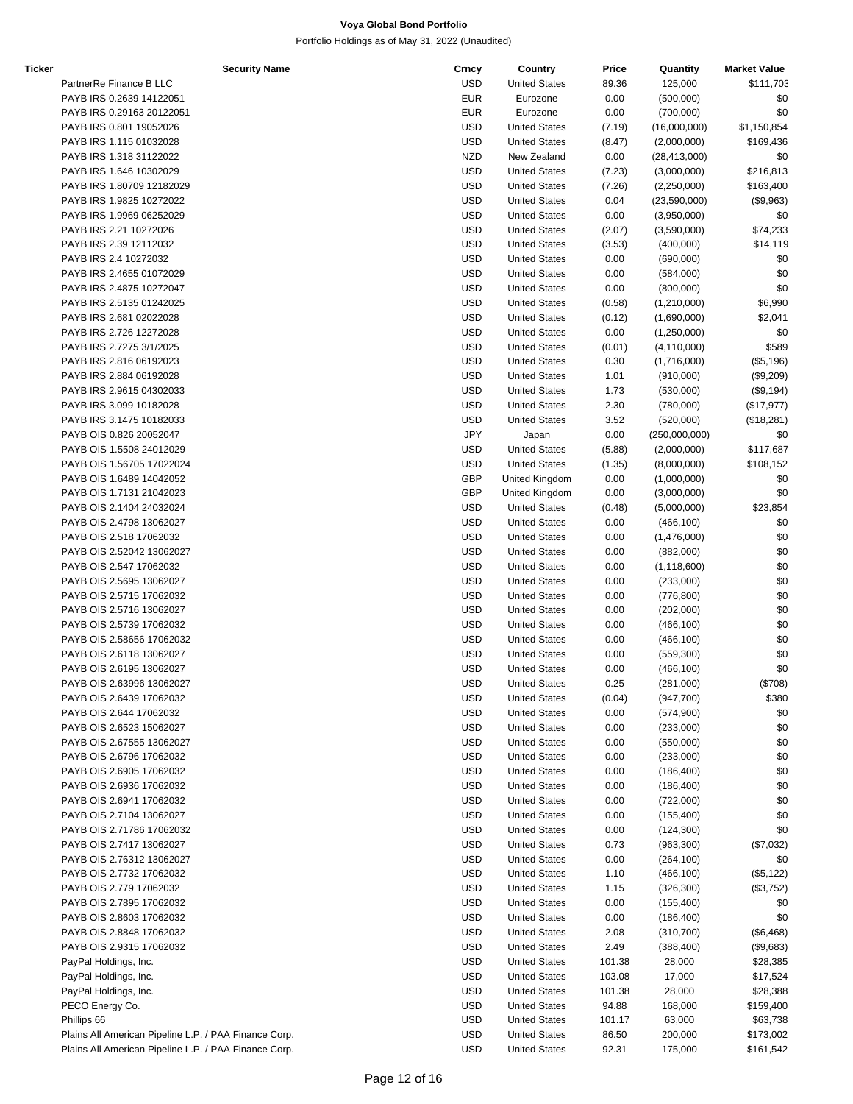Portfolio Holdings as of May 31, 2022 (Unaudited)

| Ticker | <b>Security Name</b>                                  | Crncy      | Country              | Price  | Quantity       | <b>Market Value</b> |
|--------|-------------------------------------------------------|------------|----------------------|--------|----------------|---------------------|
|        | PartnerRe Finance B LLC                               | <b>USD</b> | <b>United States</b> | 89.36  | 125,000        | \$111,703           |
|        | PAYB IRS 0.2639 14122051                              | <b>EUR</b> | Eurozone             | 0.00   | (500,000)      | \$0                 |
|        | PAYB IRS 0.29163 20122051                             | <b>EUR</b> | Eurozone             | 0.00   | (700,000)      | \$0                 |
|        | PAYB IRS 0.801 19052026                               | <b>USD</b> | <b>United States</b> | (7.19) | (16,000,000)   | \$1,150,854         |
|        | PAYB IRS 1.115 01032028                               | <b>USD</b> | <b>United States</b> | (8.47) | (2,000,000)    | \$169,436           |
|        | PAYB IRS 1.318 31122022                               | <b>NZD</b> | New Zealand          | 0.00   | (28, 413, 000) | \$0                 |
|        | PAYB IRS 1.646 10302029                               | <b>USD</b> | <b>United States</b> | (7.23) | (3,000,000)    | \$216,813           |
|        | PAYB IRS 1.80709 12182029                             | <b>USD</b> | <b>United States</b> | (7.26) | (2,250,000)    | \$163,400           |
|        | PAYB IRS 1.9825 10272022                              | <b>USD</b> | <b>United States</b> | 0.04   | (23,590,000)   | (\$9,963)           |
|        | PAYB IRS 1.9969 06252029                              | <b>USD</b> | <b>United States</b> | 0.00   | (3,950,000)    | \$0                 |
|        | PAYB IRS 2.21 10272026                                | <b>USD</b> | <b>United States</b> | (2.07) | (3,590,000)    | \$74,233            |
|        | PAYB IRS 2.39 12112032                                | <b>USD</b> | <b>United States</b> | (3.53) | (400,000)      | \$14,119            |
|        | PAYB IRS 2.4 10272032                                 | <b>USD</b> | <b>United States</b> | 0.00   | (690,000)      | \$0                 |
|        | PAYB IRS 2.4655 01072029                              | <b>USD</b> | <b>United States</b> | 0.00   | (584,000)      | \$0                 |
|        | PAYB IRS 2.4875 10272047                              | <b>USD</b> | <b>United States</b> | 0.00   | (800,000)      | \$0                 |
|        | PAYB IRS 2.5135 01242025                              | <b>USD</b> | <b>United States</b> | (0.58) | (1,210,000)    | \$6,990             |
|        | PAYB IRS 2.681 02022028                               | <b>USD</b> | <b>United States</b> | (0.12) | (1,690,000)    | \$2,041             |
|        | PAYB IRS 2.726 12272028                               | <b>USD</b> | <b>United States</b> | 0.00   | (1,250,000)    | \$0                 |
|        | PAYB IRS 2.7275 3/1/2025                              | <b>USD</b> | <b>United States</b> | (0.01) | (4, 110, 000)  | \$589               |
|        | PAYB IRS 2.816 06192023                               | <b>USD</b> | <b>United States</b> | 0.30   | (1,716,000)    | (\$5,196)           |
|        | PAYB IRS 2.884 06192028                               | <b>USD</b> | <b>United States</b> | 1.01   | (910,000)      | (\$9,209)           |
|        | PAYB IRS 2.9615 04302033                              | <b>USD</b> | <b>United States</b> | 1.73   | (530,000)      | (\$9,194)           |
|        | PAYB IRS 3.099 10182028                               | <b>USD</b> | <b>United States</b> | 2.30   | (780,000)      | (\$17,977)          |
|        | PAYB IRS 3.1475 10182033                              | <b>USD</b> | <b>United States</b> | 3.52   | (520,000)      | (\$18,281)          |
|        | PAYB OIS 0.826 20052047                               | JPY        | Japan                | 0.00   | (250,000,000)  | \$0                 |
|        | PAYB OIS 1.5508 24012029                              | <b>USD</b> | <b>United States</b> | (5.88) | (2,000,000)    | \$117,687           |
|        | PAYB OIS 1.56705 17022024                             | <b>USD</b> | <b>United States</b> | (1.35) | (8,000,000)    | \$108,152           |
|        | PAYB OIS 1.6489 14042052                              | GBP        | United Kingdom       | 0.00   | (1,000,000)    | \$0                 |
|        | PAYB OIS 1.7131 21042023                              | <b>GBP</b> | United Kingdom       | 0.00   | (3,000,000)    | \$0                 |
|        | PAYB OIS 2.1404 24032024                              | <b>USD</b> | <b>United States</b> | (0.48) | (5,000,000)    | \$23,854            |
|        | PAYB OIS 2.4798 13062027                              | <b>USD</b> | <b>United States</b> | 0.00   | (466, 100)     | \$0                 |
|        | PAYB OIS 2.518 17062032                               | <b>USD</b> | <b>United States</b> | 0.00   | (1,476,000)    | \$0                 |
|        | PAYB OIS 2.52042 13062027                             | <b>USD</b> | <b>United States</b> | 0.00   | (882,000)      | \$0                 |
|        | PAYB OIS 2.547 17062032                               | <b>USD</b> | <b>United States</b> | 0.00   | (1, 118, 600)  | \$0                 |
|        | PAYB OIS 2.5695 13062027                              | <b>USD</b> | <b>United States</b> | 0.00   | (233,000)      | \$0                 |
|        | PAYB OIS 2.5715 17062032                              | <b>USD</b> | <b>United States</b> | 0.00   | (776, 800)     | \$0                 |
|        | PAYB OIS 2.5716 13062027                              | <b>USD</b> | <b>United States</b> | 0.00   | (202,000)      | \$0                 |
|        | PAYB OIS 2.5739 17062032                              | <b>USD</b> | <b>United States</b> | 0.00   | (466, 100)     | \$0                 |
|        | PAYB OIS 2.58656 17062032                             | <b>USD</b> | <b>United States</b> | 0.00   | (466, 100)     | \$0                 |
|        | PAYB OIS 2.6118 13062027                              | <b>USD</b> | <b>United States</b> | 0.00   | (559,300)      | \$0                 |
|        | PAYB OIS 2.6195 13062027                              | <b>USD</b> | <b>United States</b> | 0.00   | (466, 100)     | \$0                 |
|        | PAYB OIS 2.63996 13062027                             | <b>USD</b> | <b>United States</b> | 0.25   | (281,000)      | (\$708)             |
|        | PAYB OIS 2.6439 17062032                              | <b>USD</b> | <b>United States</b> | (0.04) | (947,700)      | \$380               |
|        | PAYB OIS 2.644 17062032                               | <b>USD</b> | <b>United States</b> | 0.00   | (574,900)      | \$0                 |
|        | PAYB OIS 2.6523 15062027                              | <b>USD</b> | <b>United States</b> | 0.00   | (233,000)      | \$0                 |
|        | PAYB OIS 2.67555 13062027                             | <b>USD</b> | <b>United States</b> | 0.00   | (550,000)      | \$0                 |
|        | PAYB OIS 2.6796 17062032                              | <b>USD</b> | <b>United States</b> | 0.00   | (233,000)      | \$0                 |
|        | PAYB OIS 2.6905 17062032                              | <b>USD</b> | <b>United States</b> | 0.00   | (186, 400)     | \$0                 |
|        | PAYB OIS 2.6936 17062032                              | <b>USD</b> | <b>United States</b> | 0.00   | (186, 400)     | \$0                 |
|        | PAYB OIS 2.6941 17062032                              | <b>USD</b> | <b>United States</b> | 0.00   | (722,000)      | \$0                 |
|        | PAYB OIS 2.7104 13062027                              | <b>USD</b> | <b>United States</b> | 0.00   | (155, 400)     | \$0                 |
|        | PAYB OIS 2.71786 17062032                             | <b>USD</b> | <b>United States</b> | 0.00   | (124, 300)     | \$0                 |
|        | PAYB OIS 2.7417 13062027                              | <b>USD</b> | <b>United States</b> | 0.73   | (963, 300)     | (\$7,032)           |
|        | PAYB OIS 2.76312 13062027                             | <b>USD</b> | <b>United States</b> | 0.00   | (264, 100)     | \$0                 |
|        | PAYB OIS 2.7732 17062032                              | <b>USD</b> | <b>United States</b> | 1.10   | (466, 100)     | (\$5, 122)          |
|        | PAYB OIS 2.779 17062032                               | <b>USD</b> | <b>United States</b> | 1.15   | (326, 300)     | (\$3,752)           |
|        | PAYB OIS 2.7895 17062032                              | <b>USD</b> | <b>United States</b> | 0.00   | (155, 400)     | \$0                 |
|        | PAYB OIS 2.8603 17062032                              | <b>USD</b> | <b>United States</b> | 0.00   | (186, 400)     | \$0                 |
|        | PAYB OIS 2.8848 17062032                              | <b>USD</b> | <b>United States</b> | 2.08   | (310, 700)     | (\$6,468)           |
|        | PAYB OIS 2.9315 17062032                              | <b>USD</b> | <b>United States</b> | 2.49   | (388, 400)     | (\$9,683)           |
|        | PayPal Holdings, Inc.                                 | <b>USD</b> | <b>United States</b> | 101.38 | 28,000         | \$28,385            |
|        | PayPal Holdings, Inc.                                 | <b>USD</b> | <b>United States</b> | 103.08 | 17,000         | \$17,524            |
|        | PayPal Holdings, Inc.                                 | <b>USD</b> | <b>United States</b> | 101.38 | 28,000         | \$28,388            |
|        | PECO Energy Co.                                       | <b>USD</b> | <b>United States</b> | 94.88  | 168,000        | \$159,400           |
|        | Phillips 66                                           | <b>USD</b> | <b>United States</b> | 101.17 | 63,000         | \$63,738            |
|        | Plains All American Pipeline L.P. / PAA Finance Corp. | <b>USD</b> | <b>United States</b> | 86.50  | 200,000        | \$173,002           |

Plains All American Pipeline L.P. / PAA Finance Corp. **Example 2018** USD United States 92.31 175,000 \$161,542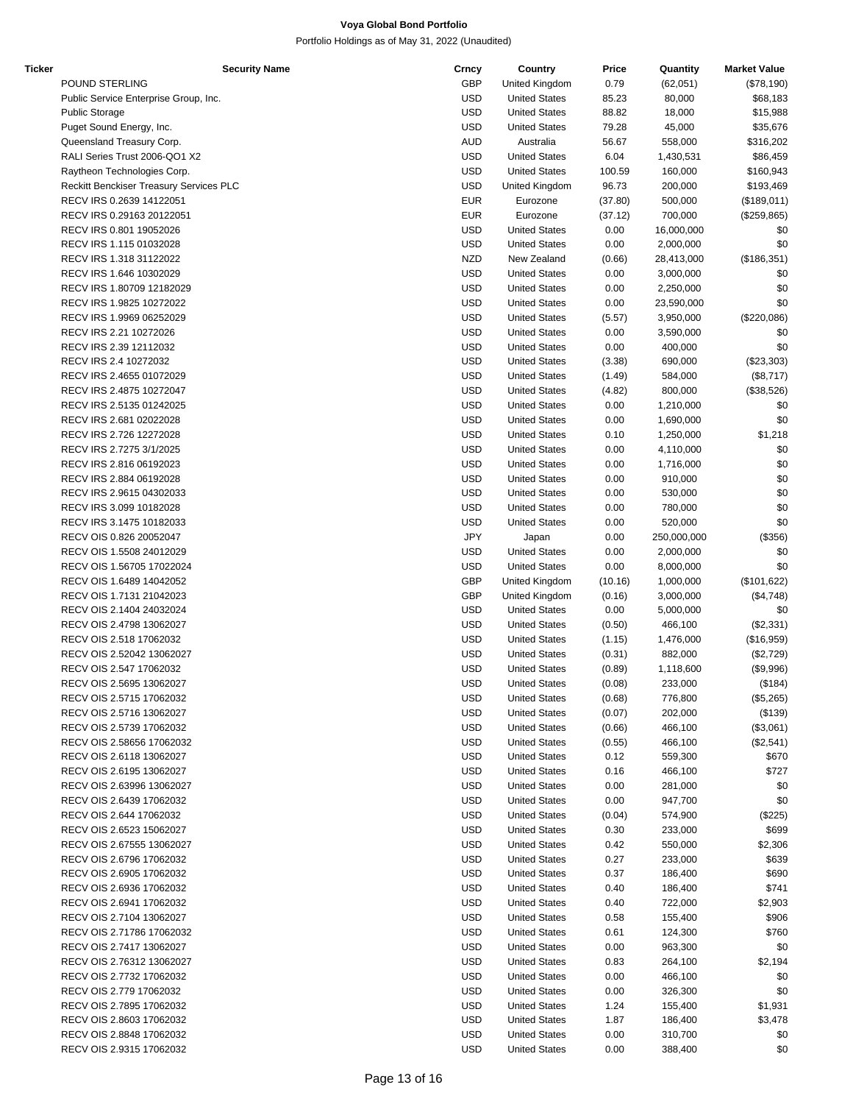| <b>Ticker</b> | <b>Security Name</b>                    | Crncy      | Country              | Price   | Quantity    | <b>Market Value</b> |
|---------------|-----------------------------------------|------------|----------------------|---------|-------------|---------------------|
|               | POUND STERLING                          | <b>GBP</b> | United Kingdom       | 0.79    | (62,051)    | (\$78,190)          |
|               | Public Service Enterprise Group, Inc.   | <b>USD</b> | <b>United States</b> | 85.23   | 80,000      | \$68,183            |
|               | <b>Public Storage</b>                   | <b>USD</b> | <b>United States</b> | 88.82   | 18,000      | \$15,988            |
|               | Puget Sound Energy, Inc.                | <b>USD</b> | <b>United States</b> | 79.28   | 45,000      | \$35,676            |
|               | Queensland Treasury Corp.               | <b>AUD</b> | Australia            | 56.67   | 558,000     | \$316,202           |
|               | RALI Series Trust 2006-QO1 X2           | <b>USD</b> | <b>United States</b> | 6.04    | 1,430,531   | \$86,459            |
|               | Raytheon Technologies Corp.             | <b>USD</b> | <b>United States</b> | 100.59  | 160,000     | \$160,943           |
|               | Reckitt Benckiser Treasury Services PLC | <b>USD</b> | United Kingdom       | 96.73   | 200,000     | \$193,469           |
|               | RECV IRS 0.2639 14122051                | <b>EUR</b> | Eurozone             | (37.80) | 500,000     | (\$189,011)         |
|               | RECV IRS 0.29163 20122051               | <b>EUR</b> | Eurozone             | (37.12) | 700,000     | (\$259, 865)        |
|               | RECV IRS 0.801 19052026                 | <b>USD</b> | <b>United States</b> | 0.00    | 16,000,000  | \$0                 |
|               | RECV IRS 1.115 01032028                 | <b>USD</b> | <b>United States</b> | 0.00    | 2,000,000   | \$0                 |
|               |                                         | <b>NZD</b> | New Zealand          |         |             |                     |
|               | RECV IRS 1.318 31122022                 |            |                      | (0.66)  | 28,413,000  | (\$186,351)         |
|               | RECV IRS 1.646 10302029                 | <b>USD</b> | <b>United States</b> | 0.00    | 3,000,000   | \$0                 |
|               | RECV IRS 1.80709 12182029               | <b>USD</b> | <b>United States</b> | 0.00    | 2,250,000   | \$0                 |
|               | RECV IRS 1.9825 10272022                | <b>USD</b> | <b>United States</b> | 0.00    | 23,590,000  | \$0                 |
|               | RECV IRS 1.9969 06252029                | <b>USD</b> | <b>United States</b> | (5.57)  | 3,950,000   | (\$220,086)         |
|               | RECV IRS 2.21 10272026                  | <b>USD</b> | <b>United States</b> | 0.00    | 3,590,000   | \$0                 |
|               | RECV IRS 2.39 12112032                  | <b>USD</b> | <b>United States</b> | 0.00    | 400,000     | \$0                 |
|               | RECV IRS 2.4 10272032                   | <b>USD</b> | <b>United States</b> | (3.38)  | 690,000     | (\$23,303)          |
|               | RECV IRS 2.4655 01072029                | <b>USD</b> | <b>United States</b> | (1.49)  | 584,000     | (\$8,717)           |
|               | RECV IRS 2.4875 10272047                | <b>USD</b> | <b>United States</b> | (4.82)  | 800,000     | (\$38,526)          |
|               | RECV IRS 2.5135 01242025                | <b>USD</b> | <b>United States</b> | 0.00    | 1,210,000   | \$0                 |
|               | RECV IRS 2.681 02022028                 | <b>USD</b> | <b>United States</b> | 0.00    | 1,690,000   | \$0                 |
|               | RECV IRS 2.726 12272028                 | <b>USD</b> | <b>United States</b> | 0.10    | 1,250,000   | \$1,218             |
|               | RECV IRS 2.7275 3/1/2025                | <b>USD</b> | <b>United States</b> | 0.00    | 4,110,000   | \$0                 |
|               | RECV IRS 2.816 06192023                 | <b>USD</b> | <b>United States</b> | 0.00    | 1,716,000   | \$0                 |
|               | RECV IRS 2.884 06192028                 | <b>USD</b> | <b>United States</b> | 0.00    | 910,000     | \$0                 |
|               | RECV IRS 2.9615 04302033                | <b>USD</b> | <b>United States</b> | 0.00    | 530,000     | \$0                 |
|               | RECV IRS 3.099 10182028                 | <b>USD</b> | <b>United States</b> | 0.00    | 780,000     | \$0                 |
|               | RECV IRS 3.1475 10182033                | <b>USD</b> | <b>United States</b> | 0.00    | 520,000     | \$0                 |
|               | RECV OIS 0.826 20052047                 | <b>JPY</b> | Japan                | 0.00    | 250,000,000 | (\$356)             |
|               | RECV OIS 1.5508 24012029                | <b>USD</b> | <b>United States</b> | 0.00    | 2,000,000   | \$0                 |
|               | RECV OIS 1.56705 17022024               | <b>USD</b> | <b>United States</b> | 0.00    | 8,000,000   | \$0                 |
|               | RECV OIS 1.6489 14042052                | <b>GBP</b> | United Kingdom       | (10.16) | 1,000,000   | (\$101,622)         |
|               |                                         | <b>GBP</b> |                      |         |             |                     |
|               | RECV OIS 1.7131 21042023                |            | United Kingdom       | (0.16)  | 3,000,000   | (\$4,748)           |
|               | RECV OIS 2.1404 24032024                | <b>USD</b> | <b>United States</b> | 0.00    | 5,000,000   | \$0                 |
|               | RECV OIS 2.4798 13062027                | <b>USD</b> | <b>United States</b> | (0.50)  | 466,100     | (\$2,331)           |
|               | RECV OIS 2.518 17062032                 | <b>USD</b> | <b>United States</b> | (1.15)  | 1,476,000   | (\$16,959)          |
|               | RECV OIS 2.52042 13062027               | <b>USD</b> | <b>United States</b> | (0.31)  | 882,000     | (\$2,729)           |
|               | RECV OIS 2.547 17062032                 | <b>USD</b> | <b>United States</b> | (0.89)  | 1,118,600   | (\$9,996)           |
|               | RECV OIS 2.5695 13062027                | <b>USD</b> | <b>United States</b> | (0.08)  | 233.000     | (\$184)             |
|               | RECV OIS 2.5715 17062032                | USD        | <b>United States</b> | (0.68)  | 776,800     | (\$5,265)           |
|               | RECV OIS 2.5716 13062027                | <b>USD</b> | <b>United States</b> | (0.07)  | 202,000     | (\$139)             |
|               | RECV OIS 2.5739 17062032                | USD        | <b>United States</b> | (0.66)  | 466,100     | (\$3,061)           |
|               | RECV OIS 2.58656 17062032               | <b>USD</b> | <b>United States</b> | (0.55)  | 466,100     | (\$2,541)           |
|               | RECV OIS 2.6118 13062027                | USD        | <b>United States</b> | 0.12    | 559,300     | \$670               |
|               | RECV OIS 2.6195 13062027                | <b>USD</b> | <b>United States</b> | 0.16    | 466,100     | \$727               |
|               | RECV OIS 2.63996 13062027               | USD        | <b>United States</b> | 0.00    | 281,000     | \$0                 |
|               | RECV OIS 2.6439 17062032                | <b>USD</b> | <b>United States</b> | 0.00    | 947,700     | \$0                 |
|               | RECV OIS 2.644 17062032                 | <b>USD</b> | <b>United States</b> | (0.04)  | 574,900     | (\$225)             |
|               | RECV OIS 2.6523 15062027                | <b>USD</b> | <b>United States</b> | 0.30    | 233,000     | \$699               |
|               | RECV OIS 2.67555 13062027               | USD        | <b>United States</b> | 0.42    | 550,000     | \$2,306             |
|               | RECV OIS 2.6796 17062032                | USD        | <b>United States</b> | 0.27    | 233,000     | \$639               |
|               | RECV OIS 2.6905 17062032                | USD        | <b>United States</b> | 0.37    | 186,400     | \$690               |
|               | RECV OIS 2.6936 17062032                | <b>USD</b> | <b>United States</b> | 0.40    | 186,400     | \$741               |
|               | RECV OIS 2.6941 17062032                | USD        | <b>United States</b> | 0.40    | 722,000     | \$2,903             |
|               | RECV OIS 2.7104 13062027                | <b>USD</b> | <b>United States</b> | 0.58    | 155,400     | \$906               |
|               | RECV OIS 2.71786 17062032               | USD        | <b>United States</b> | 0.61    | 124,300     | \$760               |
|               |                                         | <b>USD</b> |                      |         |             |                     |
|               | RECV OIS 2.7417 13062027                |            | <b>United States</b> | 0.00    | 963,300     | \$0                 |
|               | RECV OIS 2.76312 13062027               | USD        | <b>United States</b> | 0.83    | 264,100     | \$2,194             |
|               | RECV OIS 2.7732 17062032                | USD        | <b>United States</b> | 0.00    | 466,100     | \$0                 |
|               | RECV OIS 2.779 17062032                 | USD        | <b>United States</b> | 0.00    | 326,300     | \$0                 |
|               | RECV OIS 2.7895 17062032                | USD        | <b>United States</b> | 1.24    | 155,400     | \$1,931             |
|               | RECV OIS 2.8603 17062032                | USD        | <b>United States</b> | 1.87    | 186,400     | \$3,478             |
|               | RECV OIS 2.8848 17062032                | <b>USD</b> | <b>United States</b> | 0.00    | 310,700     | \$0                 |
|               | RECV OIS 2.9315 17062032                | <b>USD</b> | <b>United States</b> | 0.00    | 388,400     | \$0                 |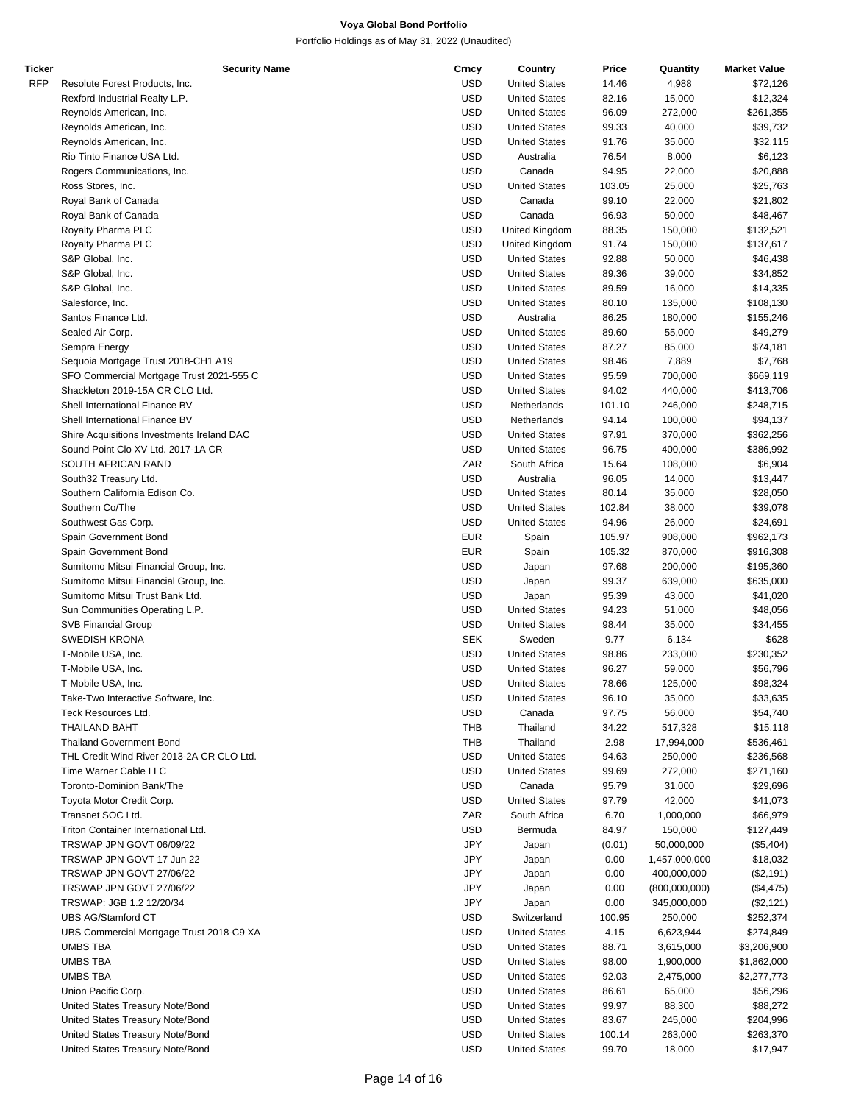| Ticker     | <b>Security Name</b>                       | Crncy      | Country              | Price  | Quantity      | <b>Market Value</b> |
|------------|--------------------------------------------|------------|----------------------|--------|---------------|---------------------|
| <b>RFP</b> | Resolute Forest Products, Inc.             | <b>USD</b> | <b>United States</b> | 14.46  | 4,988         | \$72,126            |
|            | Rexford Industrial Realty L.P.             | <b>USD</b> | <b>United States</b> | 82.16  | 15,000        | \$12,324            |
|            | Reynolds American, Inc.                    | <b>USD</b> | <b>United States</b> | 96.09  | 272,000       | \$261,355           |
|            | Reynolds American, Inc.                    | <b>USD</b> | <b>United States</b> | 99.33  | 40,000        | \$39,732            |
|            | Reynolds American, Inc.                    | <b>USD</b> | <b>United States</b> | 91.76  | 35,000        | \$32,115            |
|            | Rio Tinto Finance USA Ltd.                 | <b>USD</b> | Australia            | 76.54  | 8,000         | \$6,123             |
|            | Rogers Communications, Inc.                | <b>USD</b> | Canada               | 94.95  | 22,000        | \$20,888            |
|            |                                            |            |                      |        |               |                     |
|            | Ross Stores, Inc.                          | <b>USD</b> | <b>United States</b> | 103.05 | 25,000        | \$25,763            |
|            | Royal Bank of Canada                       | <b>USD</b> | Canada               | 99.10  | 22,000        | \$21,802            |
|            | Royal Bank of Canada                       | <b>USD</b> | Canada               | 96.93  | 50,000        | \$48,467            |
|            | Royalty Pharma PLC                         | <b>USD</b> | United Kingdom       | 88.35  | 150,000       | \$132,521           |
|            | Royalty Pharma PLC                         | <b>USD</b> | United Kingdom       | 91.74  | 150,000       | \$137,617           |
|            | S&P Global, Inc.                           | <b>USD</b> | <b>United States</b> | 92.88  | 50,000        | \$46,438            |
|            | S&P Global, Inc.                           | <b>USD</b> | <b>United States</b> | 89.36  | 39,000        | \$34,852            |
|            | S&P Global, Inc.                           | <b>USD</b> | <b>United States</b> | 89.59  | 16,000        | \$14,335            |
|            | Salesforce, Inc.                           | <b>USD</b> | <b>United States</b> | 80.10  | 135,000       | \$108,130           |
|            | Santos Finance Ltd.                        | <b>USD</b> | Australia            | 86.25  | 180,000       | \$155,246           |
|            | Sealed Air Corp.                           | <b>USD</b> | <b>United States</b> | 89.60  | 55,000        | \$49,279            |
|            | Sempra Energy                              | <b>USD</b> | <b>United States</b> | 87.27  | 85,000        | \$74,181            |
|            | Sequoia Mortgage Trust 2018-CH1 A19        | <b>USD</b> | <b>United States</b> | 98.46  | 7,889         | \$7,768             |
|            | SFO Commercial Mortgage Trust 2021-555 C   | <b>USD</b> | <b>United States</b> | 95.59  | 700,000       | \$669,119           |
|            | Shackleton 2019-15A CR CLO Ltd.            |            |                      |        |               |                     |
|            |                                            | <b>USD</b> | <b>United States</b> | 94.02  | 440,000       | \$413,706           |
|            | Shell International Finance BV             | <b>USD</b> | Netherlands          | 101.10 | 246,000       | \$248,715           |
|            | Shell International Finance BV             | <b>USD</b> | Netherlands          | 94.14  | 100,000       | \$94,137            |
|            | Shire Acquisitions Investments Ireland DAC | <b>USD</b> | <b>United States</b> | 97.91  | 370,000       | \$362,256           |
|            | Sound Point Clo XV Ltd. 2017-1A CR         | <b>USD</b> | <b>United States</b> | 96.75  | 400,000       | \$386,992           |
|            | SOUTH AFRICAN RAND                         | ZAR        | South Africa         | 15.64  | 108,000       | \$6,904             |
|            | South32 Treasury Ltd.                      | <b>USD</b> | Australia            | 96.05  | 14,000        | \$13,447            |
|            | Southern California Edison Co.             | <b>USD</b> | <b>United States</b> | 80.14  | 35,000        | \$28,050            |
|            | Southern Co/The                            | <b>USD</b> | <b>United States</b> | 102.84 | 38,000        | \$39,078            |
|            | Southwest Gas Corp.                        | <b>USD</b> | <b>United States</b> | 94.96  | 26,000        | \$24,691            |
|            | Spain Government Bond                      | <b>EUR</b> | Spain                | 105.97 | 908,000       | \$962,173           |
|            | Spain Government Bond                      | <b>EUR</b> | Spain                | 105.32 | 870,000       | \$916,308           |
|            | Sumitomo Mitsui Financial Group, Inc.      | <b>USD</b> | Japan                | 97.68  | 200,000       | \$195,360           |
|            |                                            |            |                      |        |               |                     |
|            | Sumitomo Mitsui Financial Group, Inc.      | <b>USD</b> | Japan                | 99.37  | 639,000       | \$635,000           |
|            | Sumitomo Mitsui Trust Bank Ltd.            | <b>USD</b> | Japan                | 95.39  | 43,000        | \$41,020            |
|            | Sun Communities Operating L.P.             | <b>USD</b> | <b>United States</b> | 94.23  | 51,000        | \$48,056            |
|            | <b>SVB Financial Group</b>                 | <b>USD</b> | <b>United States</b> | 98.44  | 35,000        | \$34,455            |
|            | <b>SWEDISH KRONA</b>                       | <b>SEK</b> | Sweden               | 9.77   | 6,134         | \$628               |
|            | T-Mobile USA, Inc.                         | <b>USD</b> | <b>United States</b> | 98.86  | 233,000       | \$230,352           |
|            | T-Mobile USA, Inc.                         | <b>USD</b> | <b>United States</b> | 96.27  | 59,000        | \$56,796            |
|            | T-Mobile USA, Inc.                         | <b>USD</b> | <b>United States</b> | 78.66  | 125,000       | \$98,324            |
|            | Take-Two Interactive Software, Inc.        | <b>USD</b> | <b>United States</b> | 96.10  | 35,000        | \$33,635            |
|            | Teck Resources Ltd.                        | <b>USD</b> | Canada               | 97.75  | 56,000        | \$54,740            |
|            | <b>THAILAND BAHT</b>                       | THB        | Thailand             | 34.22  | 517,328       | \$15,118            |
|            | <b>Thailand Government Bond</b>            | THB        | Thailand             | 2.98   | 17,994,000    | \$536,461           |
|            | THL Credit Wind River 2013-2A CR CLO Ltd.  | <b>USD</b> | <b>United States</b> | 94.63  | 250,000       |                     |
|            |                                            |            |                      |        |               | \$236,568           |
|            | Time Warner Cable LLC                      | <b>USD</b> | <b>United States</b> | 99.69  | 272,000       | \$271,160           |
|            | Toronto-Dominion Bank/The                  | <b>USD</b> | Canada               | 95.79  | 31,000        | \$29,696            |
|            | Toyota Motor Credit Corp.                  | <b>USD</b> | <b>United States</b> | 97.79  | 42,000        | \$41,073            |
|            | Transnet SOC Ltd.                          | ZAR        | South Africa         | 6.70   | 1,000,000     | \$66,979            |
|            | Triton Container International Ltd.        | <b>USD</b> | Bermuda              | 84.97  | 150,000       | \$127,449           |
|            | TRSWAP JPN GOVT 06/09/22                   | JPY        | Japan                | (0.01) | 50,000,000    | (\$5,404)           |
|            | TRSWAP JPN GOVT 17 Jun 22                  | JPY        | Japan                | 0.00   | 1,457,000,000 | \$18,032            |
|            | TRSWAP JPN GOVT 27/06/22                   | JPY        | Japan                | 0.00   | 400,000,000   | (\$2,191)           |
|            | TRSWAP JPN GOVT 27/06/22                   | JPY        | Japan                | 0.00   | (800,000,000) | (\$4,475)           |
|            | TRSWAP: JGB 1.2 12/20/34                   | JPY        | Japan                | 0.00   | 345,000,000   | (\$2,121)           |
|            | UBS AG/Stamford CT                         | <b>USD</b> | Switzerland          | 100.95 | 250,000       | \$252,374           |
|            | UBS Commercial Mortgage Trust 2018-C9 XA   | <b>USD</b> | <b>United States</b> | 4.15   | 6,623,944     | \$274,849           |
|            | <b>UMBS TBA</b>                            | <b>USD</b> |                      |        |               |                     |
|            |                                            |            | <b>United States</b> | 88.71  | 3,615,000     | \$3,206,900         |
|            | UMBS TBA                                   | <b>USD</b> | <b>United States</b> | 98.00  | 1,900,000     | \$1,862,000         |
|            | UMBS TBA                                   | <b>USD</b> | <b>United States</b> | 92.03  | 2,475,000     | \$2,277,773         |
|            | Union Pacific Corp.                        | <b>USD</b> | <b>United States</b> | 86.61  | 65,000        | \$56,296            |
|            | United States Treasury Note/Bond           | <b>USD</b> | <b>United States</b> | 99.97  | 88,300        | \$88,272            |
|            | United States Treasury Note/Bond           | <b>USD</b> | <b>United States</b> | 83.67  | 245,000       | \$204,996           |
|            | United States Treasury Note/Bond           | <b>USD</b> | <b>United States</b> | 100.14 | 263,000       | \$263,370           |
|            | United States Treasury Note/Bond           | <b>USD</b> | <b>United States</b> | 99.70  | 18,000        | \$17,947            |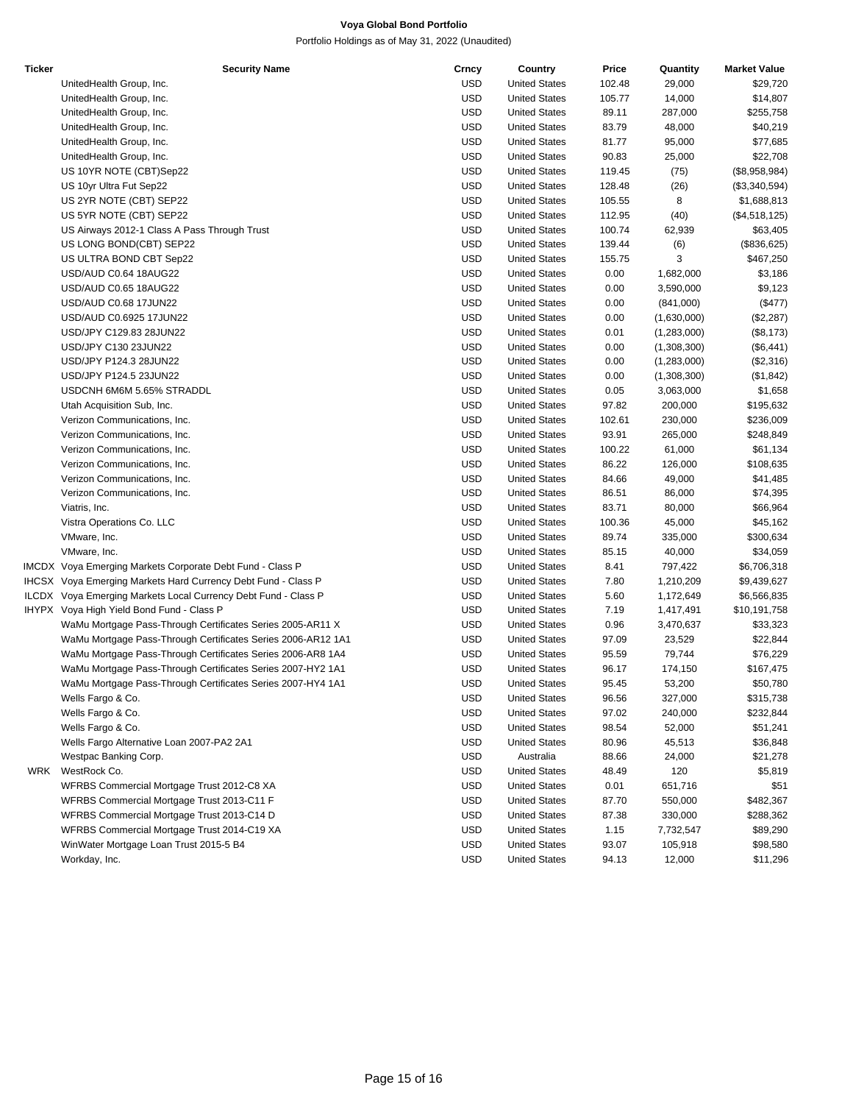| Ticker | <b>Security Name</b>                                           | Crncy      | Country              | Price  | Quantity    | <b>Market Value</b>   |
|--------|----------------------------------------------------------------|------------|----------------------|--------|-------------|-----------------------|
|        | UnitedHealth Group, Inc.                                       | <b>USD</b> | <b>United States</b> | 102.48 | 29,000      | \$29,720              |
|        | UnitedHealth Group, Inc.                                       | USD        | <b>United States</b> | 105.77 | 14,000      | \$14,807              |
|        | UnitedHealth Group, Inc.                                       | <b>USD</b> | <b>United States</b> | 89.11  | 287,000     | \$255,758             |
|        | UnitedHealth Group, Inc.                                       | <b>USD</b> | <b>United States</b> | 83.79  | 48,000      | \$40,219              |
|        | UnitedHealth Group, Inc.                                       | <b>USD</b> | <b>United States</b> | 81.77  | 95,000      | \$77,685              |
|        | UnitedHealth Group, Inc.                                       | <b>USD</b> | <b>United States</b> | 90.83  | 25,000      | \$22,708              |
|        | US 10YR NOTE (CBT)Sep22                                        | <b>USD</b> | <b>United States</b> | 119.45 | (75)        | (\$8,958,984)         |
|        | US 10yr Ultra Fut Sep22                                        | <b>USD</b> | <b>United States</b> | 128.48 | (26)        | (\$3,340,594)         |
|        | US 2YR NOTE (CBT) SEP22                                        | <b>USD</b> | <b>United States</b> | 105.55 | 8           | \$1,688,813           |
|        | US 5YR NOTE (CBT) SEP22                                        | USD        | <b>United States</b> | 112.95 | (40)        | (\$4,518,125)         |
|        | US Airways 2012-1 Class A Pass Through Trust                   | <b>USD</b> | <b>United States</b> | 100.74 | 62,939      | \$63,405              |
|        | US LONG BOND(CBT) SEP22                                        | <b>USD</b> | <b>United States</b> | 139.44 | (6)         | (\$836,625)           |
|        | US ULTRA BOND CBT Sep22                                        | <b>USD</b> | <b>United States</b> | 155.75 | 3           | \$467,250             |
|        | USD/AUD C0.64 18AUG22                                          | <b>USD</b> | <b>United States</b> | 0.00   | 1,682,000   | \$3,186               |
|        | USD/AUD C0.65 18AUG22                                          | <b>USD</b> | <b>United States</b> | 0.00   | 3,590,000   | \$9,123               |
|        | USD/AUD C0.68 17JUN22                                          | <b>USD</b> | <b>United States</b> | 0.00   | (841,000)   | $(\$477)$             |
|        | USD/AUD C0.6925 17JUN22                                        | <b>USD</b> | <b>United States</b> | 0.00   | (1,630,000) | (\$2,287)             |
|        | USD/JPY C129.83 28JUN22                                        | USD        | <b>United States</b> | 0.01   | (1,283,000) | (\$8,173)             |
|        | USD/JPY C130 23JUN22                                           | <b>USD</b> | <b>United States</b> | 0.00   | (1,308,300) | (\$6,441)             |
|        | USD/JPY P124.3 28JUN22                                         | <b>USD</b> | <b>United States</b> | 0.00   | (1,283,000) | (\$2,316)             |
|        | USD/JPY P124.5 23JUN22                                         | <b>USD</b> | <b>United States</b> | 0.00   | (1,308,300) | (\$1,842)             |
|        | USDCNH 6M6M 5.65% STRADDL                                      | USD        | <b>United States</b> | 0.05   | 3,063,000   | \$1,658               |
|        | Utah Acquisition Sub, Inc.                                     | <b>USD</b> | <b>United States</b> | 97.82  | 200,000     | \$195,632             |
|        | Verizon Communications, Inc.                                   | <b>USD</b> | <b>United States</b> | 102.61 | 230,000     | \$236,009             |
|        | Verizon Communications, Inc.                                   | <b>USD</b> | <b>United States</b> | 93.91  | 265,000     | \$248,849             |
|        | Verizon Communications, Inc.                                   | USD        | <b>United States</b> | 100.22 | 61,000      | \$61,134              |
|        | Verizon Communications, Inc.                                   | <b>USD</b> | <b>United States</b> | 86.22  | 126,000     | \$108,635             |
|        | Verizon Communications, Inc.                                   | <b>USD</b> | <b>United States</b> | 84.66  | 49,000      | \$41,485              |
|        | Verizon Communications, Inc.                                   | <b>USD</b> | <b>United States</b> | 86.51  | 86,000      | \$74,395              |
|        | Viatris, Inc.                                                  | USD        | <b>United States</b> | 83.71  | 80,000      |                       |
|        | Vistra Operations Co. LLC                                      | <b>USD</b> | <b>United States</b> | 100.36 | 45,000      | \$66,964<br>\$45,162  |
|        |                                                                | <b>USD</b> | <b>United States</b> | 89.74  | 335,000     |                       |
|        | VMware, Inc.<br>VMware, Inc.                                   | <b>USD</b> | <b>United States</b> | 85.15  | 40,000      | \$300,634<br>\$34,059 |
|        |                                                                |            |                      |        |             |                       |
|        | IMCDX Voya Emerging Markets Corporate Debt Fund - Class P      | USD        | <b>United States</b> | 8.41   | 797,422     | \$6,706,318           |
|        | IHCSX Voya Emerging Markets Hard Currency Debt Fund - Class P  | <b>USD</b> | <b>United States</b> | 7.80   | 1,210,209   | \$9,439,627           |
|        | ILCDX Voya Emerging Markets Local Currency Debt Fund - Class P | <b>USD</b> | <b>United States</b> | 5.60   | 1,172,649   | \$6,566,835           |
|        | IHYPX Voya High Yield Bond Fund - Class P                      | <b>USD</b> | <b>United States</b> | 7.19   | 1,417,491   | \$10,191,758          |
|        | WaMu Mortgage Pass-Through Certificates Series 2005-AR11 X     | USD        | <b>United States</b> | 0.96   | 3,470,637   | \$33,323              |
|        | WaMu Mortgage Pass-Through Certificates Series 2006-AR12 1A1   | <b>USD</b> | <b>United States</b> | 97.09  | 23,529      | \$22,844              |
|        | WaMu Mortgage Pass-Through Certificates Series 2006-AR8 1A4    | <b>USD</b> | <b>United States</b> | 95.59  | 79,744      | \$76,229              |
|        | WaMu Mortgage Pass-Through Certificates Series 2007-HY2 1A1    | <b>USD</b> | <b>United States</b> | 96.17  | 174,150     | \$167,475             |
|        | WaMu Mortgage Pass-Through Certificates Series 2007-HY4 1A1    | <b>USD</b> | <b>United States</b> | 95.45  | 53,200      | \$50,780              |
|        | Wells Fargo & Co.                                              | USD        | <b>United States</b> | 96.56  | 327,000     | \$315,738             |
|        | Wells Fargo & Co.                                              | <b>USD</b> | <b>United States</b> | 97.02  | 240,000     | \$232,844             |
|        | Wells Fargo & Co.                                              | <b>USD</b> | <b>United States</b> | 98.54  | 52,000      | \$51,241              |
|        | Wells Fargo Alternative Loan 2007-PA2 2A1                      | USD        | <b>United States</b> | 80.96  | 45,513      | \$36,848              |
|        | Westpac Banking Corp.                                          | USD        | Australia            | 88.66  | 24,000      | \$21,278              |
| WRK    | WestRock Co.                                                   | <b>USD</b> | <b>United States</b> | 48.49  | 120         | \$5,819               |
|        | WFRBS Commercial Mortgage Trust 2012-C8 XA                     | <b>USD</b> | <b>United States</b> | 0.01   | 651,716     | \$51                  |
|        | WFRBS Commercial Mortgage Trust 2013-C11 F                     | USD        | <b>United States</b> | 87.70  | 550,000     | \$482,367             |
|        | WFRBS Commercial Mortgage Trust 2013-C14 D                     | <b>USD</b> | <b>United States</b> | 87.38  | 330,000     | \$288,362             |
|        | WFRBS Commercial Mortgage Trust 2014-C19 XA                    | <b>USD</b> | <b>United States</b> | 1.15   | 7,732,547   | \$89,290              |
|        | WinWater Mortgage Loan Trust 2015-5 B4                         | <b>USD</b> | <b>United States</b> | 93.07  | 105,918     | \$98,580              |
|        | Workday, Inc.                                                  | <b>USD</b> | <b>United States</b> | 94.13  | 12,000      | \$11,296              |